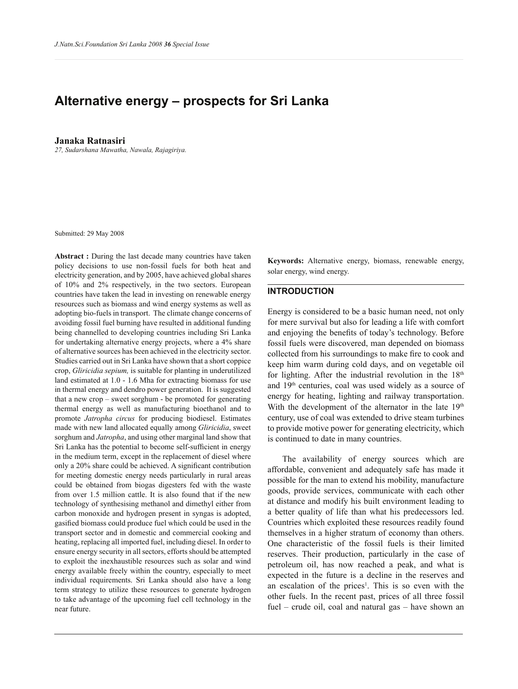# Alternative energy – prospects for Sri Lanka

**Janaka Ratnasiri** *27, Sudarshana Mawatha, Nawala, Rajagiriya.*

Submitted: 29 May 2008

**Abstract :** During the last decade many countries have taken policy decisions to use non-fossil fuels for both heat and electricity generation, and by 2005, have achieved global shares of 10% and 2% respectively, in the two sectors. European countries have taken the lead in investing on renewable energy resources such as biomass and wind energy systems as well as adopting bio-fuels in transport. The climate change concerns of avoiding fossil fuel burning have resulted in additional funding being channelled to developing countries including Sri Lanka for undertaking alternative energy projects, where a 4% share of alternative sources has been achieved in the electricity sector. Studies carried out in Sri Lanka have shown that a short coppice crop, *Gliricidia sepium,* is suitable for planting in underutilized land estimated at 1.0 - 1.6 Mha for extracting biomass for use in thermal energy and dendro power generation. It is suggested that a new crop  $-$  sweet sorghum - be promoted for generating thermal energy as well as manufacturing bioethanol and to promote *Jatropha circus* for producing biodiesel. Estimates made with new land allocated equally among *Gliricidia*, sweet sorghum and *Jatropha*, and using other marginal land show that Sri Lanka has the potential to become self-sufficient in energy in the medium term, except in the replacement of diesel where only a 20% share could be achieved. A signicant contribution for meeting domestic energy needs particularly in rural areas could be obtained from biogas digesters fed with the waste from over 1.5 million cattle. It is also found that if the new technology of synthesising methanol and dimethyl either from carbon monoxide and hydrogen present in syngas is adopted, gasified biomass could produce fuel which could be used in the transport sector and in domestic and commercial cooking and heating, replacing all imported fuel, including diesel. In order to ensure energy security in all sectors, efforts should be attempted to exploit the inexhaustible resources such as solar and wind energy available freely within the country, especially to meet individual requirements. Sri Lanka should also have a long term strategy to utilize these resources to generate hydrogen to take advantage of the upcoming fuel cell technology in the near future.

**Keywords:** Alternative energy, biomass, renewable energy, solar energy, wind energy.

## **INTRODUCTION**

Energy is considered to be a basic human need, not only for mere survival but also for leading a life with comfort and enjoying the benefits of today's technology. Before fossil fuels were discovered, man depended on biomass collected from his surroundings to make fire to cook and keep him warm during cold days, and on vegetable oil for lighting. After the industrial revolution in the  $18<sup>th</sup>$ and 19th centuries, coal was used widely as a source of energy for heating, lighting and railway transportation. With the development of the alternator in the late 19<sup>th</sup> century, use of coal was extended to drive steam turbines to provide motive power for generating electricity, which is continued to date in many countries.

 The availability of energy sources which are affordable, convenient and adequately safe has made it possible for the man to extend his mobility, manufacture goods, provide services, communicate with each other at distance and modify his built environment leading to a better quality of life than what his predecessors led. Countries which exploited these resources readily found themselves in a higher stratum of economy than others. One characteristic of the fossil fuels is their limited reserves. Their production, particularly in the case of petroleum oil, has now reached a peak, and what is expected in the future is a decline in the reserves and an escalation of the prices<sup>1</sup>. This is so even with the other fuels. In the recent past, prices of all three fossil fuel  $-$  crude oil, coal and natural gas  $-$  have shown an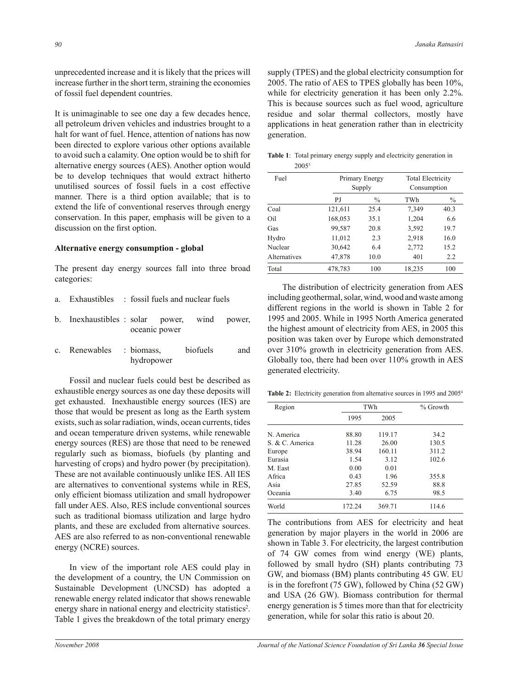unprecedented increase and it is likely that the prices will increase further in the short term, straining the economies of fossil fuel dependent countries.

It is unimaginable to see one day a few decades hence, all petroleum driven vehicles and industries brought to a halt for want of fuel. Hence, attention of nations has now been directed to explore various other options available to avoid such a calamity. One option would be to shift for alternative energy sources (AES). Another option would be to develop techniques that would extract hitherto unutilised sources of fossil fuels in a cost effective manner. There is a third option available; that is to extend the life of conventional reserves through energy conservation. In this paper, emphasis will be given to a discussion on the first option.

# **Alternative energy consumption - global**

The present day energy sources fall into three broad categories:

- a. Exhaustibles : fossil fuels and nuclear fuels
- b. Inexhaustibles : solar power, wind power, oceanic power
- c. Renewables : biomass, biofuels and hydropower

 Fossil and nuclear fuels could best be described as exhaustible energy sources as one day these deposits will get exhausted. Inexhaustible energy sources (IES) are those that would be present as long as the Earth system exists, such as solar radiation, winds, ocean currents, tides and ocean temperature driven systems, while renewable energy sources (RES) are those that need to be renewed regularly such as biomass, biofuels (by planting and harvesting of crops) and hydro power (by precipitation). These are not available continuously unlike IES. All IES are alternatives to conventional systems while in RES, only efficient biomass utilization and small hydropower fall under AES. Also, RES include conventional sources such as traditional biomass utilization and large hydro plants, and these are excluded from alternative sources. AES are also referred to as non-conventional renewable energy (NCRE) sources.

 In view of the important role AES could play in the development of a country, the UN Commission on Sustainable Development (UNCSD) has adopted a renewable energy related indicator that shows renewable energy share in national energy and electricity statistics<sup>2</sup>. Table 1 gives the breakdown of the total primary energy

supply (TPES) and the global electricity consumption for 2005. The ratio of AES to TPES globally has been 10%, while for electricity generation it has been only 2.2%. This is because sources such as fuel wood, agriculture residue and solar thermal collectors, mostly have applications in heat generation rather than in electricity generation.

**Table 1**: Total primary energy supply and electricity generation in 2005<sup>3</sup>

| Fuel         |         | Primary Energy<br>Supply |        | <b>Total Electricity</b><br>Consumption |
|--------------|---------|--------------------------|--------|-----------------------------------------|
|              | PJ      | $\frac{0}{0}$            | TWh    | $\frac{0}{0}$                           |
| Coal         | 121,611 | 25.4                     | 7,349  | 40.3                                    |
| Oil          | 168,053 | 35.1                     | 1,204  | 6.6                                     |
| Gas          | 99,587  | 20.8                     | 3,592  | 19.7                                    |
| Hydro        | 11,012  | 2.3                      | 2,918  | 16.0                                    |
| Nuclear      | 30,642  | 6.4                      | 2,772  | 15.2                                    |
| Alternatives | 47,878  | 10.0                     | 401    | 2.2                                     |
| Total        | 478,783 | 100                      | 18,235 | 100                                     |

The distribution of electricity generation from AES including geothermal, solar, wind, wood and waste among different regions in the world is shown in Table 2 for 1995 and 2005. While in 1995 North America generated the highest amount of electricity from AES, in 2005 this position was taken over by Europe which demonstrated over 310% growth in electricity generation from AES. Globally too, there had been over 110% growth in AES generated electricity.

Table 2: Electricity generation from alternative sources in 1995 and 2005<sup>4</sup>

| Region          | TWh    |        | $%$ Growth |  |
|-----------------|--------|--------|------------|--|
|                 | 1995   | 2005   |            |  |
| N. America      | 88.80  | 119.17 | 34.2       |  |
| S. & C. America | 11.28  | 26.00  | 130.5      |  |
| Europe          | 38.94  | 160.11 | 311.2      |  |
| Eurasia         | 1.54   | 3.12   | 102.6      |  |
| M. East         | 0.00   | 0.01   |            |  |
| Africa          | 0.43   | 1.96   | 355.8      |  |
| Asia            | 27.85  | 52.59  | 88.8       |  |
| Oceania         | 3.40   | 6.75   | 98.5       |  |
| World           | 172.24 | 369.71 | 114.6      |  |

The contributions from AES for electricity and heat generation by major players in the world in 2006 are shown in Table 3. For electricity, the largest contribution of 74 GW comes from wind energy (WE) plants, followed by small hydro (SH) plants contributing 73 GW, and biomass (BM) plants contributing 45 GW. EU is in the forefront (75 GW), followed by China (52 GW) and USA (26 GW). Biomass contribution for thermal energy generation is 5 times more than that for electricity generation, while for solar this ratio is about 20.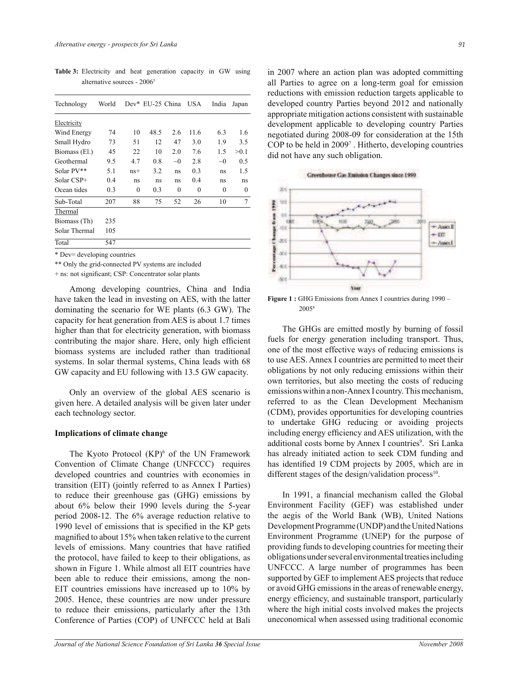**Table 3:** Electricity and heat generation capacity in GW using alternative sources - 2006<sup>5</sup>

| Technology    | World |          | Dev* EU-25 China |          | <b>USA</b> | India    | Japan |
|---------------|-------|----------|------------------|----------|------------|----------|-------|
| Electricity   |       |          |                  |          |            |          |       |
| Wind Energy   | 74    | 10       | 48.5             | 2.6      | 11.6       | 6.3      | 1.6   |
| Small Hydro   | 73    | 51       | 12               | 47       | 3.0        | 1.9      | 3.5   |
| Biomass (El.) | 45    | 22       | 10               | 2.0      | 7.6        | 1.5      | >0.1  |
| Geothermal    | 9.5   | 4.7      | 0.8              | $\sim 0$ | 2.8        | $\sim 0$ | 0.5   |
| Solar PV**    | 5.1   | $ns+$    | 3.2              | ns       | 0.3        | ns       | 1.5   |
| Solar CSP+    | 0.4   | ns       | ns               | ns       | 0.4        | ns       | ns    |
| Ocean tides   | 0.3   | $\theta$ | 0.3              | $\theta$ | $\theta$   | $\theta$ | 0     |
| Sub-Total     | 207   | 88       | 75               | 52       | 26         | 10       | 7     |
| Thermal       |       |          |                  |          |            |          |       |
| Biomass (Th)  | 235   |          |                  |          |            |          |       |
| Solar Thermal | 105   |          |                  |          |            |          |       |
| Total         | 547   |          |                  |          |            |          |       |

\* Dev= developing countries

\*\* Only the grid-connected PV systems are included

+ ns: not signicant; CSP: Concentrator solar plants

 Among developing countries, China and India have taken the lead in investing on AES, with the latter dominating the scenario for WE plants (6.3 GW). The capacity for heat generation from AES is about 1.7 times higher than that for electricity generation, with biomass contributing the major share. Here, only high efficient biomass systems are included rather than traditional systems. In solar thermal systems, China leads with 68 GW capacity and EU following with 13.5 GW capacity.

 Only an overview of the global AES scenario is given here. A detailed analysis will be given later under each technology sector.

#### **Implications of climate change**

The Kyoto Protocol  $(KP)^6$  of the UN Framework Convention of Climate Change (UNFCCC) requires developed countries and countries with economies in transition (EIT) (jointly referred to as Annex I Parties) to reduce their greenhouse gas (GHG) emissions by about 6% below their 1990 levels during the 5-year period 2008-12. The 6% average reduction relative to 1990 level of emissions that is specified in the KP gets magnified to about 15% when taken relative to the current levels of emissions. Many countries that have ratified the protocol, have failed to keep to their obligations, as shown in Figure 1. While almost all EIT countries have been able to reduce their emissions, among the non-EIT countries emissions have increased up to 10% by 2005. Hence, these countries are now under pressure to reduce their emissions, particularly after the 13th Conference of Parties (COP) of UNFCCC held at Bali

in 2007 where an action plan was adopted committing all Parties to agree on a long-term goal for emission reductions with emission reduction targets applicable to developed country Parties beyond 2012 and nationally appropriate mitigation actions consistent with sustainable development applicable to developing country Parties negotiated during 2008-09 for consideration at the 15th COP to be held in 2009<sup>7</sup>. Hitherto, developing countries did not have any such obligation.



**Figure 1 :** GHG Emissions from Annex I countries during 1990 – 20058

 The GHGs are emitted mostly by burning of fossil fuels for energy generation including transport. Thus, one of the most effective ways of reducing emissions is to use AES. Annex I countries are permitted to meet their obligations by not only reducing emissions within their own territories, but also meeting the costs of reducing emissions within a non-Annex I country. This mechanism, referred to as the Clean Development Mechanism (CDM), provides opportunities for developing countries to undertake GHG reducing or avoiding projects including energy efficiency and AES utilization, with the additional costs borne by Annex I countries<sup>9</sup>. Sri Lanka has already initiated action to seek CDM funding and has identified 19 CDM projects by 2005, which are in different stages of the design/validation process $10$ .

In 1991, a financial mechanism called the Global Environment Facility (GEF) was established under the aegis of the World Bank (WB), United Nations Development Programme (UNDP) and the United Nations Environment Programme (UNEP) for the purpose of providing funds to developing countries for meeting their obligations under several environmental treaties including UNFCCC. A large number of programmes has been supported by GEF to implement AES projects that reduce or avoid GHG emissions in the areas of renewable energy, energy efficiency, and sustainable transport, particularly where the high initial costs involved makes the projects uneconomical when assessed using traditional economic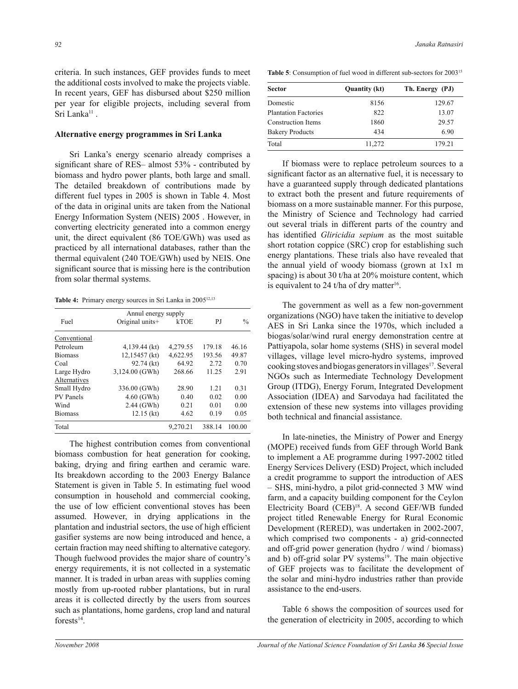criteria. In such instances, GEF provides funds to meet the additional costs involved to make the projects viable. In recent years, GEF has disbursed about \$250 million per year for eligible projects, including several from Sri Lanka<sup>11</sup>.

# **Alternative energy programmes in Sri Lanka**

Sri Lanka's energy scenario already comprises a significant share of RES– almost  $53%$  - contributed by biomass and hydro power plants, both large and small. The detailed breakdown of contributions made by different fuel types in 2005 is shown in Table 4. Most of the data in original units are taken from the National Energy Information System (NEIS) 2005 . However, in converting electricity generated into a common energy unit, the direct equivalent (86 TOE/GWh) was used as practiced by all international databases, rather than the thermal equivalent (240 TOE/GWh) used by NEIS. One significant source that is missing here is the contribution from solar thermal systems.

Table 4: Primary energy sources in Sri Lanka in 2005<sup>12,13</sup>

|                  | Annul energy supply |             |        |               |  |  |  |
|------------------|---------------------|-------------|--------|---------------|--|--|--|
| Fuel             | Original units+     | <b>kTOE</b> | P.J    | $\frac{0}{0}$ |  |  |  |
| Conventional     |                     |             |        |               |  |  |  |
| Petroleum        | 4,139.44 (kt)       | 4,279.55    | 179.18 | 46.16         |  |  |  |
| <b>Biomass</b>   | 12,15457 (kt)       | 4,622.95    | 193.56 | 49.87         |  |  |  |
| Coal             | 92.74 (kt)          | 64.92       | 2.72   | 0.70          |  |  |  |
| Large Hydro      | 3,124.00 (GWh)      | 268.66      | 11.25  | 2.91          |  |  |  |
| Alternatives     |                     |             |        |               |  |  |  |
| Small Hydro      | 336.00 (GWh)        | 28.90       | 121    | 0.31          |  |  |  |
| <b>PV</b> Panels | $4.60$ (GWh)        | 0.40        | 0.02   | 0.00          |  |  |  |
| Wind             | $2.44$ (GWh)        | 0.21        | 0.01   | 0.00          |  |  |  |
| <b>Biomass</b>   | $12.15$ (kt)        | 4.62        | 0.19   | 0.05          |  |  |  |
| Total            |                     | 9,270.21    | 388.14 | 100.00        |  |  |  |

 The highest contribution comes from conventional biomass combustion for heat generation for cooking, baking, drying and firing earthen and ceramic ware. Its breakdown according to the 2003 Energy Balance Statement is given in Table 5. In estimating fuel wood consumption in household and commercial cooking, the use of low efficient conventional stoves has been assumed. However, in drying applications in the plantation and industrial sectors, the use of high efficient gasifier systems are now being introduced and hence, a certain fraction may need shifting to alternative category. Though fuelwood provides the major share of country's energy requirements, it is not collected in a systematic manner. It is traded in urban areas with supplies coming mostly from up-rooted rubber plantations, but in rural areas it is collected directly by the users from sources such as plantations, home gardens, crop land and natural forests $^{14}$ .

**Table 5**: Consumption of fuel wood in different sub-sectors for 2003<sup>15</sup>

| <b>Sector</b>               | <b>Quantity (kt)</b> | Th. Energy (PJ) |
|-----------------------------|----------------------|-----------------|
| Domestic                    | 8156                 | 129.67          |
| <b>Plantation Factories</b> | 822                  | 13.07           |
| <b>Construction Items</b>   | 1860                 | 29.57           |
| <b>Bakery Products</b>      | 434                  | 6.90            |
| Total                       | 11,272               | 179.21          |

 If biomass were to replace petroleum sources to a significant factor as an alternative fuel, it is necessary to have a guaranteed supply through dedicated plantations to extract both the present and future requirements of biomass on a more sustainable manner. For this purpose, the Ministry of Science and Technology had carried out several trials in different parts of the country and has identified *Gliricidia sepium* as the most suitable short rotation coppice (SRC) crop for establishing such energy plantations. These trials also have revealed that the annual yield of woody biomass (grown at 1x1 m spacing) is about 30 t/ha at 20% moisture content, which is equivalent to 24 t/ha of dry matter<sup>16</sup>.

 The government as well as a few non-government organizations (NGO) have taken the initiative to develop AES in Sri Lanka since the 1970s, which included a biogas/solar/wind rural energy demonstration centre at Pattiyapola, solar home systems (SHS) in several model villages, village level micro-hydro systems, improved cooking stoves and biogas generators in villages<sup>17</sup>. Several NGOs such as Intermediate Technology Development Group (ITDG), Energy Forum, Integrated Development Association (IDEA) and Sarvodaya had facilitated the extension of these new systems into villages providing both technical and financial assistance.

 In late-nineties, the Ministry of Power and Energy (MOPE) received funds from GEF through World Bank to implement a AE programme during 1997-2002 titled Energy Services Delivery (ESD) Project, which included a credit programme to support the introduction of AES - SHS, mini-hydro, a pilot grid-connected 3 MW wind farm, and a capacity building component for the Ceylon Electricity Board (CEB)<sup>18</sup>. A second GEF/WB funded project titled Renewable Energy for Rural Economic Development (RERED), was undertaken in 2002-2007, which comprised two components - a) grid-connected and off-grid power generation (hydro / wind / biomass) and b) off-grid solar PV systems<sup>19</sup>. The main objective of GEF projects was to facilitate the development of the solar and mini-hydro industries rather than provide assistance to the end-users.

 Table 6 shows the composition of sources used for the generation of electricity in 2005, according to which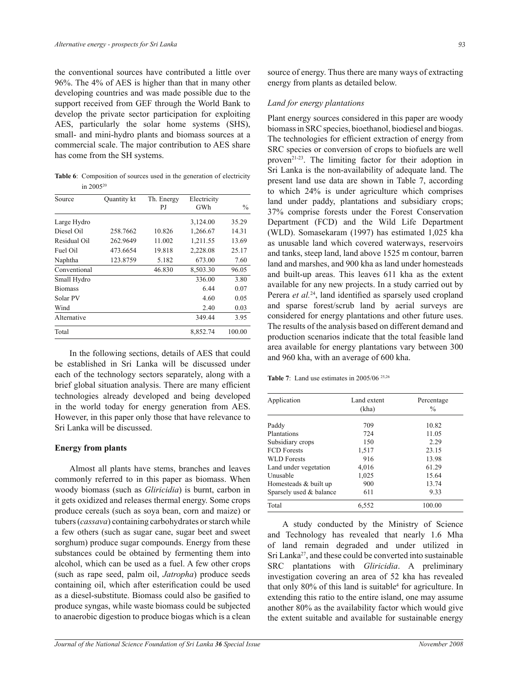the conventional sources have contributed a little over 96%. The 4% of AES is higher than that in many other developing countries and was made possible due to the support received from GEF through the World Bank to develop the private sector participation for exploiting AES, particularly the solar home systems (SHS), small- and mini-hydro plants and biomass sources at a commercial scale. The major contribution to AES share has come from the SH systems.

**Table 6**: Composition of sources used in the generation of electricity in 2005<sup>20</sup>

| Source         | Quantity kt | Th. Energy<br>PJ | Electricity<br>GWh | $\frac{0}{0}$ |
|----------------|-------------|------------------|--------------------|---------------|
| Large Hydro    |             |                  | 3,124.00           | 35.29         |
| Diesel Oil     | 258.7662    | 10.826           | 1,266.67           | 14.31         |
| Residual Oil   | 262.9649    | 11.002           | 1,211.55           | 13.69         |
| Fuel Oil       | 473.6654    | 19.818           | 2,228.08           | 25.17         |
| Naphtha        | 123.8759    | 5.182            | 673.00             | 7.60          |
| Conventional   |             | 46.830           | 8,503.30           | 96.05         |
| Small Hydro    |             |                  | 336.00             | 3.80          |
| <b>Biomass</b> |             |                  | 6.44               | 0.07          |
| Solar PV       |             |                  | 4.60               | 0.05          |
| Wind           |             |                  | 2.40               | 0.03          |
| Alternative    |             |                  | 349.44             | 3.95          |
| Total          |             |                  | 8,852.74           | 100.00        |

 In the following sections, details of AES that could be established in Sri Lanka will be discussed under each of the technology sectors separately, along with a brief global situation analysis. There are many efficient technologies already developed and being developed in the world today for energy generation from AES. However, in this paper only those that have relevance to Sri Lanka will be discussed.

# **Energy from plants**

 Almost all plants have stems, branches and leaves commonly referred to in this paper as biomass. When woody biomass (such as *Gliricidia*) is burnt, carbon in it gets oxidized and releases thermal energy. Some crops produce cereals (such as soya bean, corn and maize) or tubers (*cassava*) containing carbohydrates or starch while a few others (such as sugar cane, sugar beet and sweet sorghum) produce sugar compounds. Energy from these substances could be obtained by fermenting them into alcohol, which can be used as a fuel. A few other crops (such as rape seed, palm oil, *Jatropha*) produce seeds containing oil, which after esterification could be used as a diesel-substitute. Biomass could also be gasified to produce syngas, while waste biomass could be subjected to anaerobic digestion to produce biogas which is a clean

source of energy. Thus there are many ways of extracting energy from plants as detailed below.

# *Land for energy plantations*

Plant energy sources considered in this paper are woody biomass in SRC species, bioethanol, biodiesel and biogas. The technologies for efficient extraction of energy from SRC species or conversion of crops to biofuels are well proven21-23. The limiting factor for their adoption in Sri Lanka is the non-availability of adequate land. The present land use data are shown in Table 7, according to which 24% is under agriculture which comprises land under paddy, plantations and subsidiary crops; 37% comprise forests under the Forest Conservation Department (FCD) and the Wild Life Department (WLD). Somasekaram (1997) has estimated 1,025 kha as unusable land which covered waterways, reservoirs and tanks, steep land, land above 1525 m contour, barren land and marshes, and 900 kha as land under homesteads and built-up areas. This leaves 611 kha as the extent available for any new projects. In a study carried out by Perera *et al.*<sup>24</sup>, land identified as sparsely used cropland and sparse forest/scrub land by aerial surveys are considered for energy plantations and other future uses. The results of the analysis based on different demand and production scenarios indicate that the total feasible land area available for energy plantations vary between 300 and 960 kha, with an average of 600 kha.

**Table 7**: Land use estimates in 2005/06 25,26

| Application             | Land extent<br>(kha) | Percentage<br>$\frac{0}{0}$ |
|-------------------------|----------------------|-----------------------------|
| Paddy                   | 709                  | 10.82                       |
| Plantations             | 724                  | 11.05                       |
| Subsidiary crops        | 150                  | 2.29                        |
| <b>FCD</b> Forests      | 1,517                | 23.15                       |
| <b>WLD</b> Forests      | 916                  | 13.98                       |
| Land under vegetation   | 4,016                | 61.29                       |
| Unusable                | 1,025                | 15.64                       |
| Homesteads & built up   | 900                  | 13.74                       |
| Sparsely used & balance | 611                  | 9.33                        |
| Total                   | 6,552                | 100.00                      |

 A study conducted by the Ministry of Science and Technology has revealed that nearly 1.6 Mha of land remain degraded and under utilized in Sri Lanka<sup>27</sup>, and these could be converted into sustainable SRC plantations with *Gliricidia*. A preliminary investigation covering an area of 52 kha has revealed that only 80% of this land is suitable<sup>4</sup> for agriculture. In extending this ratio to the entire island, one may assume another 80% as the availability factor which would give the extent suitable and available for sustainable energy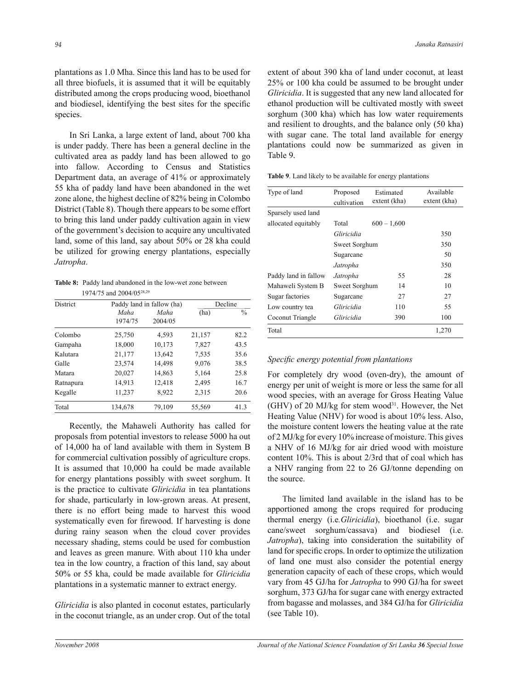plantations as 1.0 Mha. Since this land has to be used for all three biofuels, it is assumed that it will be equitably distributed among the crops producing wood, bioethanol and biodiesel, identifying the best sites for the specific species.

 In Sri Lanka, a large extent of land, about 700 kha is under paddy. There has been a general decline in the cultivated area as paddy land has been allowed to go into fallow. According to Census and Statistics Department data, an average of 41% or approximately 55 kha of paddy land have been abandoned in the wet zone alone, the highest decline of 82% being in Colombo District (Table 8). Though there appears to be some effort to bring this land under paddy cultivation again in view of the government's decision to acquire any uncultivated land, some of this land, say about 50% or 28 kha could be utilized for growing energy plantations, especially *Jatropha*.

**Table 8:** Paddy land abandoned in the low-wet zone between 1974/75 and 2004/0528,29

| <b>District</b> |                 | Paddy land in fallow (ha) | Decline |               |
|-----------------|-----------------|---------------------------|---------|---------------|
|                 | Maha<br>1974/75 | Maha<br>2004/05           | (ha)    | $\frac{0}{0}$ |
| Colombo         | 25,750          | 4,593                     | 21,157  | 82.2          |
| Gampaha         | 18,000          | 10,173                    | 7,827   | 43.5          |
| Kalutara        | 21,177          | 13,642                    | 7.535   | 35.6          |
| Galle           | 23,574          | 14,498                    | 9,076   | 38.5          |
| Matara          | 20,027          | 14,863                    | 5,164   | 25.8          |
| Ratnapura       | 14,913          | 12,418                    | 2,495   | 16.7          |
| Kegalle         | 11,237          | 8,922                     | 2,315   | 20.6          |
| Total           | 134,678         | 79.109                    | 55.569  | 41.3          |

 Recently, the Mahaweli Authority has called for proposals from potential investors to release 5000 ha out of 14,000 ha of land available with them in System B for commercial cultivation possibly of agriculture crops. It is assumed that 10,000 ha could be made available for energy plantations possibly with sweet sorghum. It is the practice to cultivate *Gliricidia* in tea plantations for shade, particularly in low-grown areas. At present, there is no effort being made to harvest this wood systematically even for firewood. If harvesting is done during rainy season when the cloud cover provides necessary shading, stems could be used for combustion and leaves as green manure. With about 110 kha under tea in the low country, a fraction of this land, say about 50% or 55 kha, could be made available for *Gliricidia* plantations in a systematic manner to extract energy.

*Gliricidia* is also planted in coconut estates, particularly in the coconut triangle, as an under crop. Out of the total extent of about 390 kha of land under coconut, at least 25% or 100 kha could be assumed to be brought under *Gliricidia*. It is suggested that any new land allocated for ethanol production will be cultivated mostly with sweet sorghum (300 kha) which has low water requirements and resilient to droughts, and the balance only (50 kha) with sugar cane. The total land available for energy plantations could now be summarized as given in Table 9.

**Table 9**. Land likely to be available for energy plantations

| Type of land         | Proposed<br>cultivation | Estimated<br>extent (kha) | Available<br>extent (kha) |
|----------------------|-------------------------|---------------------------|---------------------------|
| Sparsely used land   |                         |                           |                           |
| allocated equitably  | Total                   | $600 - 1,600$             |                           |
|                      | Gliricidia              |                           | 350                       |
|                      | Sweet Sorghum           |                           | 350                       |
|                      | Sugarcane               |                           | 50                        |
|                      | Jatropha                |                           | 350                       |
| Paddy land in fallow | Jatropha                | 55                        | 28                        |
| Mahaweli System B    | Sweet Sorghum           | 14                        | 10                        |
| Sugar factories      | Sugarcane               | 27                        | 27                        |
| Low country tea      | Gliricidia              | 110                       | 55                        |
| Coconut Triangle     | Gliricidia              | 390                       | 100                       |
| Total                |                         |                           | 1,270                     |

# *Specific energy potential from plantations*

For completely dry wood (oven-dry), the amount of energy per unit of weight is more or less the same for all wood species, with an average for Gross Heating Value (GHV) of 20 MJ/kg for stem wood<sup>31</sup>. However, the Net Heating Value (NHV) for wood is about 10% less. Also, the moisture content lowers the heating value at the rate of 2 MJ/kg for every 10% increase of moisture. This gives a NHV of 16 MJ/kg for air dried wood with moisture content 10%. This is about 2/3rd that of coal which has a NHV ranging from 22 to 26 GJ/tonne depending on the source.

 The limited land available in the island has to be apportioned among the crops required for producing thermal energy (i.e*.Gliricidia*), bioethanol (i.e. sugar cane/sweet sorghum/cassava) and biodiesel (i.e. *Jatropha*), taking into consideration the suitability of land for specific crops. In order to optimize the utilization of land one must also consider the potential energy generation capacity of each of these crops, which would vary from 45 GJ/ha for *Jatropha* to 990 GJ/ha for sweet sorghum, 373 GJ/ha for sugar cane with energy extracted from bagasse and molasses, and 384 GJ/ha for *Gliricidia* (see Table 10).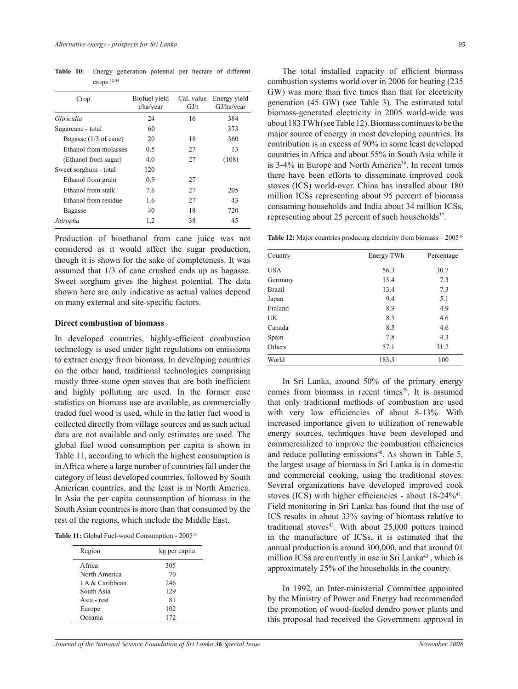| Crop                  | Biofuel vield<br>t/ha/year | Cal. value<br>GJ/t | Energy yield<br>GJ/ha/year |
|-----------------------|----------------------------|--------------------|----------------------------|
| Gliricidia            | 24                         | 16                 | 384                        |
| Sugarcane - total     | 60                         |                    | 373                        |
| Bagasse (1/3 of cane) | 20                         | 18                 | 360                        |
| Ethanol from molasses | 0.5                        | 27                 | 13                         |
| (Ethanol from sugar)  | 4.0                        | 27                 | (108)                      |
| Sweet sorghum - total | 120                        |                    |                            |
| Ethanol from grain    | 0.9                        | 27                 |                            |
| Ethanol from stalk    | 7.6                        | 27                 | 205                        |
| Ethanol from residue  | 1.6                        | 27                 | 43                         |
| Bagasse               | 40                         | 18                 | 720                        |
| Jatropha              | 1.2                        | 38                 | 45                         |

**Table 10**: Energy generation potential per hectare of different crops 32-34

Production of bioethanol from cane juice was not considered as it would affect the sugar production, though it is shown for the sake of completeness. It was assumed that 1/3 of cane crushed ends up as bagasse. Sweet sorghum gives the highest potential. The data shown here are only indicative as actual values depend on many external and site-specific factors.

#### **Direct combustion of biomass**

In developed countries, highly-efficient combustion technology is used under tight regulations on emissions to extract energy from biomass. In developing countries on the other hand, traditional technologies comprising mostly three-stone open stoves that are both inefficient and highly polluting are used. In the former case statistics on biomass use are available, as commercially traded fuel wood is used, while in the latter fuel wood is collected directly from village sources and as such actual data are not available and only estimates are used. The global fuel wood consumption per capita is shown in Table 11, according to which the highest consumption is in Africa where a large number of countries fall under the category of least developed countries, followed by South American countries, and the least is in North America. In Asia the per capita counsumption of biomass in the South Asian countries is more than that consumed by the rest of the regions, which include the Middle East.

Table 11: Global Fuel-wood Consumption - 2005<sup>35</sup>

| Region         | kg per capita |
|----------------|---------------|
| A frica        | 305           |
| North America  | 70            |
| LA & Caribbean | 246           |
| South Asia     | 129           |
| Asia - rest    | 81            |
| Europe         | 102           |
| Oceania        | 172           |

The total installed capacity of efficient biomass combustion systems world over in 2006 for heating (235 GW) was more than five times than that for electricity generation (45 GW) (see Table 3). The estimated total biomass-generated electricity in 2005 world-wide was about 183 TWh (see Table 12). Biomass continues to be the major source of energy in most developing countries. Its contribution is in excess of 90% in some least developed countries in Africa and about 55% in South Asia while it is  $3-4\%$  in Europe and North America<sup>36</sup>. In recent times there have been efforts to disseminate improved cook stoves (ICS) world-over. China has installed about 180 million ICSs representing about 95 percent of biomass consuming households and India about 34 million ICSs, representing about 25 percent of such households<sup>37</sup>.

**Table 12:** Major countries producing electricity from biomass  $-2005^{38}$ 

| Country       | Energy TWh | Percentage |
|---------------|------------|------------|
| USA           | 56.3       | 30.7       |
| Germany       | 13.4       | 7.3        |
| <b>Brazil</b> | 13.4       | 7.3        |
| Japan         | 9.4        | 5.1        |
| Finland       | 8.9        | 4.9        |
| UK            | 8.5        | 4.6        |
| Canada        | 8.5        | 4.6        |
| Spain         | 7.8        | 4.3        |
| Others        | 57.1       | 31.2       |
| World         | 183.3      | 100        |

In Sri Lanka, around 50% of the primary energy comes from biomass in recent times<sup>39</sup>. It is assumed that only traditional methods of combustion are used with very low efficiencies of about 8-13%. With increased importance given to utilization of renewable energy sources, techniques have been developed and commercialized to improve the combustion efficiencies and reduce polluting emissions<sup>40</sup>. As shown in Table 5, the largest usage of biomass in Sri Lanka is in domestic and commercial cooking, using the traditional stoves. Several organizations have developed improved cook stoves (ICS) with higher efficiencies - about  $18-24\%^{41}$ . Field monitoring in Sri Lanka has found that the use of ICS results in about 33% saving of biomass relative to traditional stoves $42$ . With about 25,000 potters trained in the manufacture of ICSs, it is estimated that the annual production is around 300,000, and that around 01 million ICSs are currently in use in Sri Lanka<sup>43</sup>, which is approximately 25% of the households in the country.

 In 1992, an Inter-ministerial Committee appointed by the Ministry of Power and Energy had recommended the promotion of wood-fueled dendro power plants and this proposal had received the Government approval in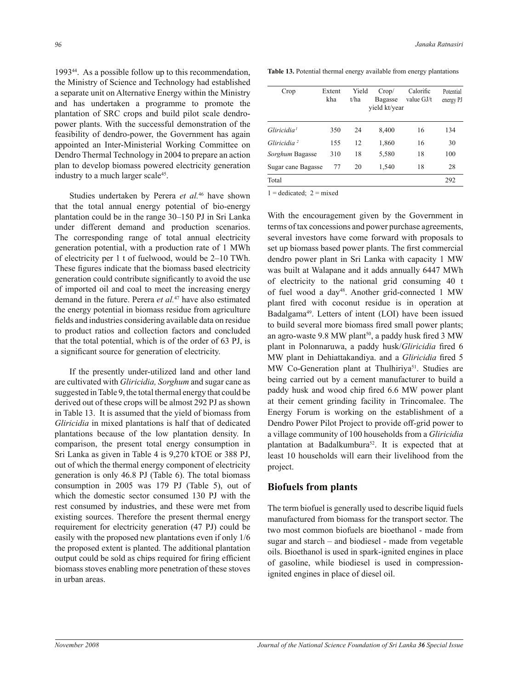1993<sup>44</sup>. As a possible follow up to this recommendation, the Ministry of Science and Technology had established a separate unit on Alternative Energy within the Ministry and has undertaken a programme to promote the plantation of SRC crops and build pilot scale dendropower plants. With the successful demonstration of the feasibility of dendro-power, the Government has again appointed an Inter-Ministerial Working Committee on Dendro Thermal Technology in 2004 to prepare an action plan to develop biomass powered electricity generation industry to a much larger scale<sup>45</sup>.

 Studies undertaken by Perera *et al.*<sup>46</sup> have shown that the total annual energy potential of bio-energy plantation could be in the range  $30-150$  PJ in Sri Lanka under different demand and production scenarios. The corresponding range of total annual electricity generation potential, with a production rate of 1 MWh of electricity per 1 t of fuelwood, would be  $2-10$  TWh. These figures indicate that the biomass based electricity generation could contribute signicantly to avoid the use of imported oil and coal to meet the increasing energy demand in the future. Perera *et al.*<sup>47</sup> have also estimated the energy potential in biomass residue from agriculture fields and industries considering available data on residue to product ratios and collection factors and concluded that the total potential, which is of the order of 63 PJ, is a signicant source for generation of electricity.

 If the presently under-utilized land and other land are cultivated with *Gliricidia, Sorghum* and sugar cane as suggested in Table 9, the total thermal energy that could be derived out of these crops will be almost 292 PJ as shown in Table 13. It is assumed that the yield of biomass from *Gliricidia* in mixed plantations is half that of dedicated plantations because of the low plantation density. In comparison, the present total energy consumption in Sri Lanka as given in Table 4 is 9,270 kTOE or 388 PJ, out of which the thermal energy component of electricity generation is only 46.8 PJ (Table 6). The total biomass consumption in 2005 was 179 PJ (Table 5), out of which the domestic sector consumed 130 PJ with the rest consumed by industries, and these were met from existing sources. Therefore the present thermal energy requirement for electricity generation (47 PJ) could be easily with the proposed new plantations even if only 1/6 the proposed extent is planted. The additional plantation output could be sold as chips required for firing efficient biomass stoves enabling more penetration of these stoves in urban areas.

**Table 13.** Potential thermal energy available from energy plantations

| Crop                    | Extent<br>kha | Yield<br>t/ha | Crop/<br>Bagasse<br>vield kt/year | Calorific<br>value GJ/t | Potential<br>energy PJ |
|-------------------------|---------------|---------------|-----------------------------------|-------------------------|------------------------|
| Gliricidia <sup>1</sup> | 350           | 24            | 8,400                             | 16                      | 134                    |
| Gliricidia <sup>2</sup> | 155           | 12            | 1,860                             | 16                      | 30                     |
| Sorghum Bagasse         | 310           | 18            | 5,580                             | 18                      | 100                    |
| Sugar cane Bagasse      | 77            | 20            | 1,540                             | 18                      | 28                     |
| Total                   |               |               |                                   |                         | 292                    |

 $1 =$  dedicated;  $2 =$  mixed

With the encouragement given by the Government in terms of tax concessions and power purchase agreements, several investors have come forward with proposals to set up biomass based power plants. The first commercial dendro power plant in Sri Lanka with capacity 1 MW was built at Walapane and it adds annually 6447 MWh of electricity to the national grid consuming 40 t of fuel wood a day<sup>48</sup>. Another grid-connected 1 MW plant fired with coconut residue is in operation at Badalgama<sup>49</sup>. Letters of intent (LOI) have been issued to build several more biomass fired small power plants; an agro-waste 9.8 MW plant<sup>50</sup>, a paddy husk fired 3 MW plant in Polonnaruwa, a paddy husk/*Gliricidia* fired 6 MW plant in Dehiattakandiya. and a *Gliricidia* fired 5 MW Co-Generation plant at Thulhiriya<sup>51</sup>. Studies are being carried out by a cement manufacturer to build a paddy husk and wood chip fired 6.6 MW power plant at their cement grinding facility in Trincomalee. The Energy Forum is working on the establishment of a Dendro Power Pilot Project to provide off-grid power to a village community of 100 households from a *Gliricidia*  plantation at Badalkumbura<sup>52</sup>. It is expected that at least 10 households will earn their livelihood from the project.

# **Biofuels from plants**

The term biofuel is generally used to describe liquid fuels manufactured from biomass for the transport sector. The two most common biofuels are bioethanol - made from sugar and starch  $-$  and biodiesel - made from vegetable oils. Bioethanol is used in spark-ignited engines in place of gasoline, while biodiesel is used in compressionignited engines in place of diesel oil.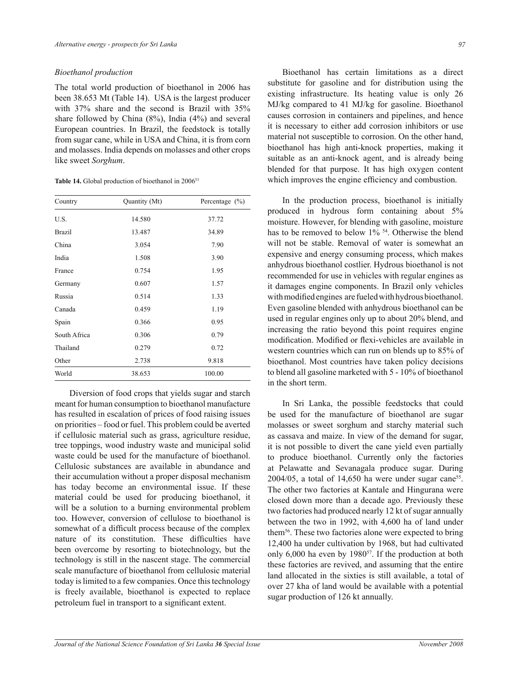### *Bioethanol production*

The total world production of bioethanol in 2006 has been 38.653 Mt (Table 14). USA is the largest producer with 37% share and the second is Brazil with 35% share followed by China (8%), India (4%) and several European countries. In Brazil, the feedstock is totally from sugar cane, while in USA and China, it is from corn and molasses. India depends on molasses and other crops like sweet *Sorghum*.

Table 14. Global production of bioethanol in 2006<sup>53</sup>

| Country      | Quantity (Mt) | Percentage $(\% )$ |
|--------------|---------------|--------------------|
| U.S.         | 14.580        | 37.72              |
| Brazil       | 13.487        | 34.89              |
| China        | 3.054         | 7.90               |
| India        | 1.508         | 3.90               |
| France       | 0.754         | 1.95               |
| Germany      | 0.607         | 1.57               |
| Russia       | 0.514         | 1.33               |
| Canada       | 0.459         | 1.19               |
| Spain        | 0.366         | 0.95               |
| South Africa | 0.306         | 0.79               |
| Thailand     | 0.279         | 0.72               |
| Other        | 2.738         | 9.818              |
| World        | 38.653        | 100.00             |

 Diversion of food crops that yields sugar and starch meant for human consumption to bioethanol manufacture has resulted in escalation of prices of food raising issues on priorities – food or fuel. This problem could be averted if cellulosic material such as grass, agriculture residue, tree toppings, wood industry waste and municipal solid waste could be used for the manufacture of bioethanol. Cellulosic substances are available in abundance and their accumulation without a proper disposal mechanism has today become an environmental issue. If these material could be used for producing bioethanol, it will be a solution to a burning environmental problem too. However, conversion of cellulose to bioethanol is somewhat of a difficult process because of the complex nature of its constitution. These difficulties have been overcome by resorting to biotechnology, but the technology is still in the nascent stage. The commercial scale manufacture of bioethanol from cellulosic material today is limited to a few companies. Once this technology is freely available, bioethanol is expected to replace petroleum fuel in transport to a significant extent.

 Bioethanol has certain limitations as a direct substitute for gasoline and for distribution using the existing infrastructure. Its heating value is only 26 MJ/kg compared to 41 MJ/kg for gasoline. Bioethanol causes corrosion in containers and pipelines, and hence it is necessary to either add corrosion inhibitors or use material not susceptible to corrosion. On the other hand, bioethanol has high anti-knock properties, making it suitable as an anti-knock agent, and is already being blended for that purpose. It has high oxygen content which improves the engine efficiency and combustion.

 In the production process, bioethanol is initially produced in hydrous form containing about 5% moisture. However, for blending with gasoline, moisture has to be removed to below  $1\%$  <sup>54</sup>. Otherwise the blend will not be stable. Removal of water is somewhat an expensive and energy consuming process, which makes anhydrous bioethanol costlier. Hydrous bioethanol is not recommended for use in vehicles with regular engines as it damages engine components. In Brazil only vehicles with modified engines are fueled with hydrous bioethanol. Even gasoline blended with anhydrous bioethanol can be used in regular engines only up to about 20% blend, and increasing the ratio beyond this point requires engine modification. Modified or flexi-vehicles are available in western countries which can run on blends up to 85% of bioethanol. Most countries have taken policy decisions to blend all gasoline marketed with 5 - 10% of bioethanol in the short term.

 In Sri Lanka, the possible feedstocks that could be used for the manufacture of bioethanol are sugar molasses or sweet sorghum and starchy material such as cassava and maize. In view of the demand for sugar, it is not possible to divert the cane yield even partially to produce bioethanol. Currently only the factories at Pelawatte and Sevanagala produce sugar. During  $2004/05$ , a total of 14,650 ha were under sugar cane<sup>55</sup>. The other two factories at Kantale and Hingurana were closed down more than a decade ago. Previously these two factories had produced nearly 12 kt of sugar annually between the two in 1992, with 4,600 ha of land under them<sup>56</sup>. These two factories alone were expected to bring 12,400 ha under cultivation by 1968, but had cultivated only  $6,000$  ha even by 1980<sup>57</sup>. If the production at both these factories are revived, and assuming that the entire land allocated in the sixties is still available, a total of over 27 kha of land would be available with a potential sugar production of 126 kt annually.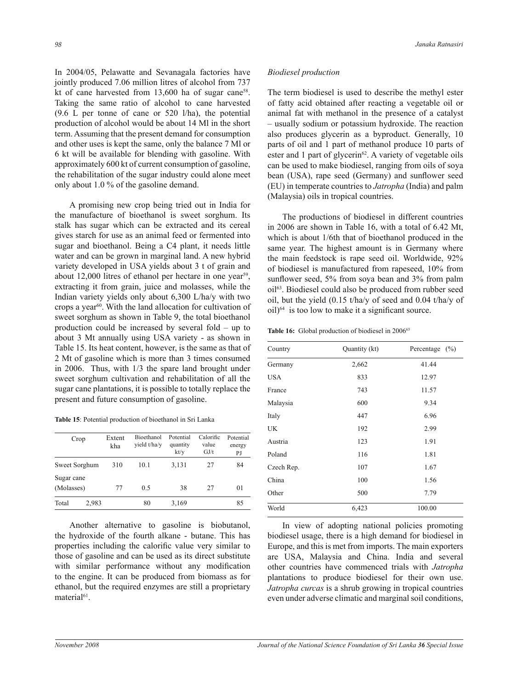In 2004/05, Pelawatte and Sevanagala factories have jointly produced 7.06 million litres of alcohol from 737 kt of cane harvested from 13,600 ha of sugar cane<sup>58</sup>. Taking the same ratio of alcohol to cane harvested (9.6 L per tonne of cane or 520 l/ha), the potential production of alcohol would be about 14 Ml in the short term. Assuming that the present demand for consumption and other uses is kept the same, only the balance 7 Ml or 6 kt will be available for blending with gasoline. With approximately 600 kt of current consumption of gasoline, the rehabilitation of the sugar industry could alone meet only about 1.0 % of the gasoline demand.

 A promising new crop being tried out in India for the manufacture of bioethanol is sweet sorghum. Its stalk has sugar which can be extracted and its cereal gives starch for use as an animal feed or fermented into sugar and bioethanol. Being a C4 plant, it needs little water and can be grown in marginal land. A new hybrid variety developed in USA yields about 3 t of grain and about 12,000 litres of ethanol per hectare in one year<sup>59</sup>, extracting it from grain, juice and molasses, while the Indian variety yields only about 6,300 L/ha/y with two crops a year<sup>60</sup>. With the land allocation for cultivation of sweet sorghum as shown in Table 9, the total bioethanol production could be increased by several fold  $-$  up to about 3 Mt annually using USA variety - as shown in Table 15. Its heat content, however, is the same as that of 2 Mt of gasoline which is more than 3 times consumed in 2006. Thus, with 1/3 the spare land brought under sweet sorghum cultivation and rehabilitation of all the sugar cane plantations, it is possible to totally replace the present and future consumption of gasoline.

|  | <b>Table 15:</b> Potential production of bioethanol in Sri Lanka |
|--|------------------------------------------------------------------|
|--|------------------------------------------------------------------|

| Crop                     | Extent<br>kha | Bioethanol<br>yield t/ha/y | Potential<br>quantity<br>kt/y | Calorific<br>value<br>GJ/t | Potential<br>energy<br>PJ |
|--------------------------|---------------|----------------------------|-------------------------------|----------------------------|---------------------------|
| Sweet Sorghum            | 310           | 10.1                       | 3,131                         | 27                         | 84                        |
| Sugar cane<br>(Molasses) | 77            | 0.5                        | 38                            | 27                         | 01                        |
| 2,983<br>Total           |               | 80                         | 3,169                         |                            | 85                        |

 Another alternative to gasoline is biobutanol, the hydroxide of the fourth alkane - butane. This has properties including the calorific value very similar to those of gasoline and can be used as its direct substitute with similar performance without any modification to the engine. It can be produced from biomass as for ethanol, but the required enzymes are still a proprietary material<sup>61</sup>.

#### *Biodiesel production*

The term biodiesel is used to describe the methyl ester of fatty acid obtained after reacting a vegetable oil or animal fat with methanol in the presence of a catalyst – usually sodium or potassium hydroxide. The reaction also produces glycerin as a byproduct. Generally, 10 parts of oil and 1 part of methanol produce 10 parts of ester and 1 part of glycerin<sup>62</sup>. A variety of vegetable oils can be used to make biodiesel, ranging from oils of soya bean (USA), rape seed (Germany) and sunflower seed (EU) in temperate countries to *Jatropha* (India) and palm (Malaysia) oils in tropical countries.

 The productions of biodiesel in different countries in 2006 are shown in Table 16, with a total of 6.42 Mt, which is about 1/6th that of bioethanol produced in the same year. The highest amount is in Germany where the main feedstock is rape seed oil. Worldwide, 92% of biodiesel is manufactured from rapeseed, 10% from sunflower seed,  $5\%$  from soya bean and  $3\%$  from palm oil<sup>63</sup>. Biodiesel could also be produced from rubber seed oil, but the yield (0.15 t/ha/y of seed and 0.04 t/ha/y of  $oil$ <sup>64</sup> is too low to make it a significant source.

Table 16: Global production of biodiesel in 2006<sup>65</sup>

| Country    | Quantity (kt) | Percentage $(\% )$ |
|------------|---------------|--------------------|
| Germany    | 2,662         | 41.44              |
| <b>USA</b> | 833           | 12.97              |
| France     | 743           | 11.57              |
| Malaysia   | 600           | 9.34               |
| Italy      | 447           | 6.96               |
| UK         | 192           | 2.99               |
| Austria    | 123           | 1.91               |
| Poland     | 116           | 1.81               |
| Czech Rep. | 107           | 1.67               |
| China      | 100           | 1.56               |
| Other      | 500           | 7.79               |
| World      | 6,423         | 100.00             |

 In view of adopting national policies promoting biodiesel usage, there is a high demand for biodiesel in Europe, and this is met from imports. The main exporters are USA, Malaysia and China. India and several other countries have commenced trials with *Jatropha* plantations to produce biodiesel for their own use. *Jatropha curcas* is a shrub growing in tropical countries even under adverse climatic and marginal soil conditions,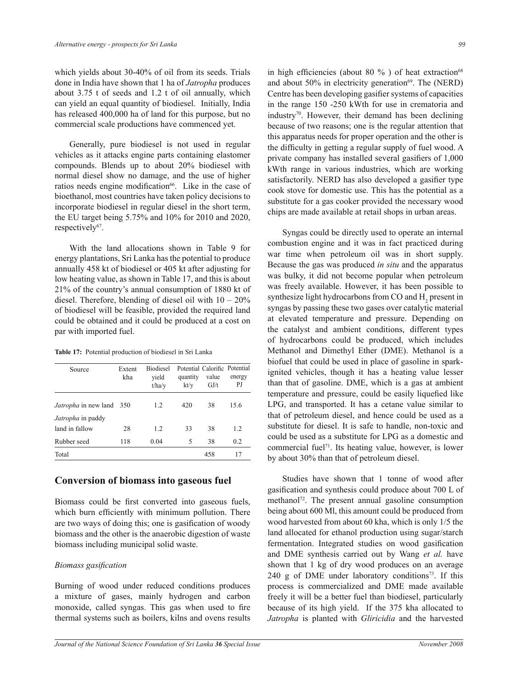which yields about 30-40% of oil from its seeds. Trials done in India have shown that 1 ha of *Jatropha* produces about 3.75 t of seeds and 1.2 t of oil annually, which can yield an equal quantity of biodiesel. Initially, India has released 400,000 ha of land for this purpose, but no commercial scale productions have commenced yet.

 Generally, pure biodiesel is not used in regular vehicles as it attacks engine parts containing elastomer compounds. Blends up to about 20% biodiesel with normal diesel show no damage, and the use of higher ratios needs engine modification<sup>66</sup>. Like in the case of bioethanol, most countries have taken policy decisions to incorporate biodiesel in regular diesel in the short term, the EU target being 5.75% and 10% for 2010 and 2020, respectively<sup>67</sup>.

 With the land allocations shown in Table 9 for energy plantations, Sri Lanka has the potential to produce annually 458 kt of biodiesel or 405 kt after adjusting for low heating value, as shown in Table 17, and this is about 21% of the countryís annual consumption of 1880 kt of diesel. Therefore, blending of diesel oil with  $10 - 20\%$ of biodiesel will be feasible, provided the required land could be obtained and it could be produced at a cost on par with imported fuel.

|  |  |  |  | Table 17: Potential production of biodiesel in Sri Lanka |
|--|--|--|--|----------------------------------------------------------|
|--|--|--|--|----------------------------------------------------------|

| Source                   | Extent<br>kha | <b>Biodiesel</b><br>vield<br>t/ha/v | quantity<br>kt/y | Potential Calorific Potential<br>value<br>GJ/t | energy<br>PJ |
|--------------------------|---------------|-------------------------------------|------------------|------------------------------------------------|--------------|
| Jatropha in new land 350 |               | 1.2                                 | 420              | 38                                             | 15.6         |
| <i>Jatropha</i> in paddy |               |                                     |                  |                                                |              |
| land in fallow           | 28            | 1.2                                 | 33               | 38                                             | 1.2          |
| Rubber seed              | 118           | 0.04                                | 5                | 38                                             | 0.2          |
| Total                    |               |                                     |                  | 458                                            | 17           |

# **Conversion of biomass into gaseous fuel**

Biomass could be first converted into gaseous fuels, which burn efficiently with minimum pollution. There are two ways of doing this; one is gasification of woody biomass and the other is the anaerobic digestion of waste biomass including municipal solid waste.

# **Biomass** gasification

Burning of wood under reduced conditions produces a mixture of gases, mainly hydrogen and carbon monoxide, called syngas. This gas when used to fire thermal systems such as boilers, kilns and ovens results in high efficiencies (about 80 %) of heat extraction<sup>68</sup> and about  $50\%$  in electricity generation<sup>69</sup>. The (NERD) Centre has been developing gasifier systems of capacities in the range 150 -250 kWth for use in crematoria and industry<sup>70</sup>. However, their demand has been declining because of two reasons; one is the regular attention that this apparatus needs for proper operation and the other is the difficulty in getting a regular supply of fuel wood. A private company has installed several gasifiers of 1,000 kWth range in various industries, which are working satisfactorily. NERD has also developed a gasifier type cook stove for domestic use. This has the potential as a substitute for a gas cooker provided the necessary wood chips are made available at retail shops in urban areas.

 Syngas could be directly used to operate an internal combustion engine and it was in fact practiced during war time when petroleum oil was in short supply. Because the gas was produced *in situ* and the apparatus was bulky, it did not become popular when petroleum was freely available. However, it has been possible to synthesize light hydrocarbons from CO and  $H_2$  present in syngas by passing these two gases over catalytic material at elevated temperature and pressure. Depending on the catalyst and ambient conditions, different types of hydrocarbons could be produced, which includes Methanol and Dimethyl Ether (DME). Methanol is a biofuel that could be used in place of gasoline in sparkignited vehicles, though it has a heating value lesser than that of gasoline. DME, which is a gas at ambient temperature and pressure, could be easily liquefied like LPG, and transported. It has a cetane value similar to that of petroleum diesel, and hence could be used as a substitute for diesel. It is safe to handle, non-toxic and could be used as a substitute for LPG as a domestic and commercial fuel<sup>71</sup>. Its heating value, however, is lower by about 30% than that of petroleum diesel.

 Studies have shown that 1 tonne of wood after gasification and synthesis could produce about 700 L of methanol<sup>72</sup>. The present annual gasoline consumption being about 600 Ml, this amount could be produced from wood harvested from about 60 kha, which is only 1/5 the land allocated for ethanol production using sugar/starch fermentation. Integrated studies on wood gasification and DME synthesis carried out by Wang *et al.* have shown that 1 kg of dry wood produces on an average 240 g of DME under laboratory conditions<sup>73</sup>. If this process is commercialized and DME made available freely it will be a better fuel than biodiesel, particularly because of its high yield. If the 375 kha allocated to *Jatropha* is planted with *Gliricidia* and the harvested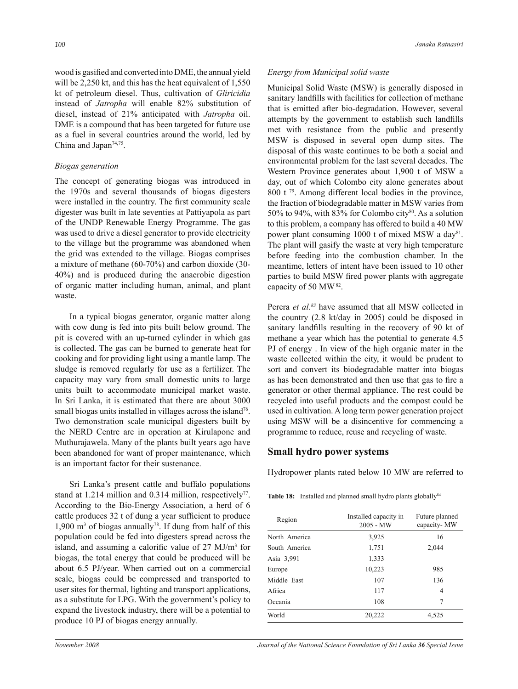wood is gasified and converted into DME, the annual yield will be 2,250 kt, and this has the heat equivalent of 1,550 kt of petroleum diesel. Thus, cultivation of *Gliricidia*  instead of *Jatropha* will enable 82% substitution of diesel, instead of 21% anticipated with *Jatropha* oil. DME is a compound that has been targeted for future use as a fuel in several countries around the world, led by China and Japan<sup>74,75</sup>.

# *Biogas generation*

The concept of generating biogas was introduced in the 1970s and several thousands of biogas digesters were installed in the country. The first community scale digester was built in late seventies at Pattiyapola as part of the UNDP Renewable Energy Programme. The gas was used to drive a diesel generator to provide electricity to the village but the programme was abandoned when the grid was extended to the village. Biogas comprises a mixture of methane (60-70%) and carbon dioxide (30- 40%) and is produced during the anaerobic digestion of organic matter including human, animal, and plant waste.

 In a typical biogas generator, organic matter along with cow dung is fed into pits built below ground. The pit is covered with an up-turned cylinder in which gas is collected. The gas can be burned to generate heat for cooking and for providing light using a mantle lamp. The sludge is removed regularly for use as a fertilizer. The capacity may vary from small domestic units to large units built to accommodate municipal market waste. In Sri Lanka, it is estimated that there are about 3000 small biogas units installed in villages across the island<sup>76</sup>. Two demonstration scale municipal digesters built by the NERD Centre are in operation at Kirulapone and Muthurajawela. Many of the plants built years ago have been abandoned for want of proper maintenance, which is an important factor for their sustenance.

Sri Lanka's present cattle and buffalo populations stand at 1.214 million and 0.314 million, respectively<sup>77</sup>. According to the Bio-Energy Association, a herd of 6 cattle produces 32 t of dung a year sufficient to produce  $1,900 \text{ m}^3$  of biogas annually<sup>78</sup>. If dung from half of this population could be fed into digesters spread across the island, and assuming a calorific value of  $27 \text{ MJ/m}^3$  for biogas, the total energy that could be produced will be about 6.5 PJ/year. When carried out on a commercial scale, biogas could be compressed and transported to user sites for thermal, lighting and transport applications, as a substitute for LPG. With the government's policy to expand the livestock industry, there will be a potential to produce 10 PJ of biogas energy annually.

# *Energy from Municipal solid waste*

Municipal Solid Waste (MSW) is generally disposed in sanitary landfills with facilities for collection of methane that is emitted after bio-degradation. However, several attempts by the government to establish such landfills met with resistance from the public and presently MSW is disposed in several open dump sites. The disposal of this waste continues to be both a social and environmental problem for the last several decades. The Western Province generates about 1,900 t of MSW a day, out of which Colombo city alone generates about 800 t <sup>79</sup>. Among different local bodies in the province, the fraction of biodegradable matter in MSW varies from 50% to 94%, with 83% for Colombo city $80$ . As a solution to this problem, a company has offered to build a 40 MW power plant consuming 1000 t of mixed MSW a day<sup>81</sup>. The plant will gasify the waste at very high temperature before feeding into the combustion chamber. In the meantime, letters of intent have been issued to 10 other parties to build MSW fired power plants with aggregate capacity of 50 MW<sup>82</sup>.

Perera *et al.<sup>83</sup>* have assumed that all MSW collected in the country (2.8 kt/day in 2005) could be disposed in sanitary landfills resulting in the recovery of 90 kt of methane a year which has the potential to generate 4.5 PJ of energy . In view of the high organic mater in the waste collected within the city, it would be prudent to sort and convert its biodegradable matter into biogas as has been demonstrated and then use that gas to fire a generator or other thermal appliance. The rest could be recycled into useful products and the compost could be used in cultivation. A long term power generation project using MSW will be a disincentive for commencing a programme to reduce, reuse and recycling of waste.

# **Small hydro power systems**

Hydropower plants rated below 10 MW are referred to

Table 18: Installed and planned small hydro plants globally<sup>84</sup>

| Installed capacity in<br>$2005 - MW$ | Future planned<br>capacity- MW |
|--------------------------------------|--------------------------------|
| 3,925                                | 16                             |
| 1,751                                | 2,044                          |
| 1,333                                |                                |
| 10,223                               | 985                            |
| 107                                  | 136                            |
| 117                                  | 4                              |
| 108                                  | 7                              |
| 20,222                               | 4,525                          |
|                                      |                                |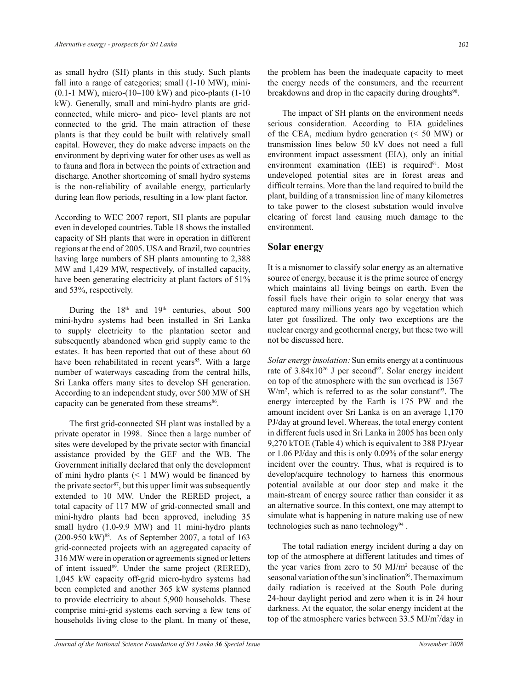as small hydro (SH) plants in this study. Such plants fall into a range of categories; small  $(1-10)$  MW), mini- $(0.1-1 \text{ MW})$ , micro- $(10-100 \text{ kW})$  and pico-plants  $(1-10)$ kW). Generally, small and mini-hydro plants are gridconnected, while micro- and pico- level plants are not connected to the grid. The main attraction of these plants is that they could be built with relatively small capital. However, they do make adverse impacts on the environment by depriving water for other uses as well as to fauna and flora in between the points of extraction and discharge. Another shortcoming of small hydro systems is the non-reliability of available energy, particularly during lean flow periods, resulting in a low plant factor.

According to WEC 2007 report, SH plants are popular even in developed countries. Table 18 shows the installed capacity of SH plants that were in operation in different regions at the end of 2005. USA and Brazil, two countries having large numbers of SH plants amounting to 2,388 MW and 1,429 MW, respectively, of installed capacity, have been generating electricity at plant factors of 51% and 53%, respectively.

During the  $18<sup>th</sup>$  and  $19<sup>th</sup>$  centuries, about 500 mini-hydro systems had been installed in Sri Lanka to supply electricity to the plantation sector and subsequently abandoned when grid supply came to the estates. It has been reported that out of these about 60 have been rehabilitated in recent years<sup>85</sup>. With a large number of waterways cascading from the central hills, Sri Lanka offers many sites to develop SH generation. According to an independent study, over 500 MW of SH capacity can be generated from these streams<sup>86</sup>.

The first grid-connected SH plant was installed by a private operator in 1998. Since then a large number of sites were developed by the private sector with financial assistance provided by the GEF and the WB. The Government initially declared that only the development of mini hydro plants  $(< 1$  MW) would be financed by the private sector<sup>87</sup>, but this upper limit was subsequently extended to 10 MW. Under the RERED project, a total capacity of 117 MW of grid-connected small and mini-hydro plants had been approved, including 35 small hydro (1.0-9.9 MW) and 11 mini-hydro plants  $(200-950 \text{ kW})^{88}$ . As of September 2007, a total of 163 grid-connected projects with an aggregated capacity of 316 MW were in operation or agreements signed or letters of intent issued<sup>89</sup>. Under the same project (RERED), 1,045 kW capacity off-grid micro-hydro systems had been completed and another 365 kW systems planned to provide electricity to about 5,900 households. These comprise mini-grid systems each serving a few tens of households living close to the plant. In many of these,

the problem has been the inadequate capacity to meet the energy needs of the consumers, and the recurrent breakdowns and drop in the capacity during droughts<sup>90</sup>.

 The impact of SH plants on the environment needs serious consideration. According to EIA guidelines of the CEA, medium hydro generation (< 50 MW) or transmission lines below 50 kV does not need a full environment impact assessment (EIA), only an initial environment examination (IEE) is required $91$ . Most undeveloped potential sites are in forest areas and difficult terrains. More than the land required to build the plant, building of a transmission line of many kilometres to take power to the closest substation would involve clearing of forest land causing much damage to the environment.

# **Solar energy**

It is a misnomer to classify solar energy as an alternative source of energy, because it is the prime source of energy which maintains all living beings on earth. Even the fossil fuels have their origin to solar energy that was captured many millions years ago by vegetation which later got fossilized. The only two exceptions are the nuclear energy and geothermal energy, but these two will not be discussed here.

*Solar energy insolation:* Sun emits energy at a continuous rate of  $3.84 \times 10^{26}$  J per second<sup>92</sup>. Solar energy incident on top of the atmosphere with the sun overhead is 1367  $W/m<sup>2</sup>$ , which is referred to as the solar constant<sup>93</sup>. The energy intercepted by the Earth is 175 PW and the amount incident over Sri Lanka is on an average 1,170 PJ/day at ground level. Whereas, the total energy content in different fuels used in Sri Lanka in 2005 has been only 9,270 kTOE (Table 4) which is equivalent to 388 PJ/year or 1.06 PJ/day and this is only 0.09% of the solar energy incident over the country. Thus, what is required is to develop/acquire technology to harness this enormous potential available at our door step and make it the main-stream of energy source rather than consider it as an alternative source. In this context, one may attempt to simulate what is happening in nature making use of new technologies such as nano technology<sup>94</sup>.

 The total radiation energy incident during a day on top of the atmosphere at different latitudes and times of the year varies from zero to 50 MJ/m<sup>2</sup> because of the seasonal variation of the sun's inclination<sup>95</sup>. The maximum daily radiation is received at the South Pole during 24-hour daylight period and zero when it is in 24 hour darkness. At the equator, the solar energy incident at the top of the atmosphere varies between 33.5 MJ/m<sup>2</sup>/day in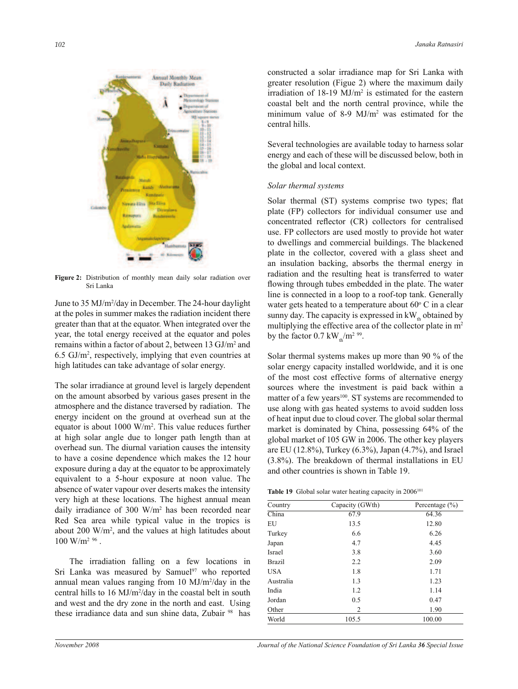

**Figure 2:** Distribution of monthly mean daily solar radiation over Sri Lanka

June to 35 MJ/m<sup>2</sup>/day in December. The 24-hour daylight at the poles in summer makes the radiation incident there greater than that at the equator. When integrated over the year, the total energy received at the equator and poles remains within a factor of about 2, between 13 GJ/m<sup>2</sup> and 6.5 GJ/m<sup>2</sup> , respectively, implying that even countries at high latitudes can take advantage of solar energy.

The solar irradiance at ground level is largely dependent on the amount absorbed by various gases present in the atmosphere and the distance traversed by radiation. The energy incident on the ground at overhead sun at the equator is about 1000 W/m<sup>2</sup> . This value reduces further at high solar angle due to longer path length than at overhead sun. The diurnal variation causes the intensity to have a cosine dependence which makes the 12 hour exposure during a day at the equator to be approximately equivalent to a 5-hour exposure at noon value. The absence of water vapour over deserts makes the intensity very high at these locations. The highest annual mean daily irradiance of 300 W/m<sup>2</sup> has been recorded near Red Sea area while typical value in the tropics is about  $200 \text{ W/m}^2$ , and the values at high latitudes about  $100 \text{ W/m}^2$  %.

 The irradiation falling on a few locations in Sri Lanka was measured by Samuel $97$  who reported annual mean values ranging from 10 MJ/m<sup>2</sup>/day in the central hills to  $16 \text{ MJ/m}^2/\text{day}$  in the coastal belt in south and west and the dry zone in the north and east. Using these irradiance data and sun shine data, Zubair<sup>98</sup> has

constructed a solar irradiance map for Sri Lanka with greater resolution (Figue 2) where the maximum daily irradiation of  $18-19$  MJ/m<sup>2</sup> is estimated for the eastern coastal belt and the north central province, while the minimum value of 8-9 MJ/m<sup>2</sup> was estimated for the central hills.

Several technologies are available today to harness solar energy and each of these will be discussed below, both in the global and local context.

### *Solar thermal systems*

Solar thermal (ST) systems comprise two types; flat plate (FP) collectors for individual consumer use and concentrated reflector (CR) collectors for centralised use. FP collectors are used mostly to provide hot water to dwellings and commercial buildings. The blackened plate in the collector, covered with a glass sheet and an insulation backing, absorbs the thermal energy in radiation and the resulting heat is transferred to water flowing through tubes embedded in the plate. The water line is connected in a loop to a roof-top tank. Generally water gets heated to a temperature about  $60^{\circ}$  C in a clear sunny day. The capacity is expressed in  $kW_{th}$  obtained by multiplying the effective area of the collector plate in m<sup>2</sup> by the factor  $0.7 \text{ kW}_{\text{th}}/\text{m}^2$  <sup>99</sup>.

Solar thermal systems makes up more than 90 % of the solar energy capacity installed worldwide, and it is one of the most cost effective forms of alternative energy sources where the investment is paid back within a matter of a few years<sup>100</sup>. ST systems are recommended to use along with gas heated systems to avoid sudden loss of heat input due to cloud cover. The global solar thermal market is dominated by China, possessing 64% of the global market of 105 GW in 2006. The other key players are EU (12.8%), Turkey (6.3%), Japan (4.7%), and Israel (3.8%). The breakdown of thermal installations in EU and other countries is shown in Table 19.

Table 19 Global solar water heating capacity in 2006<sup>101</sup>

| Country    | Capacity (GWth) | Percentage $(\% )$ |
|------------|-----------------|--------------------|
| China      | 67.9            | 64.36              |
| EU         | 13.5            | 12.80              |
| Turkey     | 6.6             | 6.26               |
| Japan      | 4.7             | 4.45               |
| Israel     | 3.8             | 3.60               |
| Brazil     | 2.2             | 2.09               |
| <b>USA</b> | 1.8             | 1.71               |
| Australia  | 1.3             | 1.23               |
| India      | 1.2             | 1.14               |
| Jordan     | 0.5             | 0.47               |
| Other      | 2               | 1.90               |
| World      | 105.5           | 100.00             |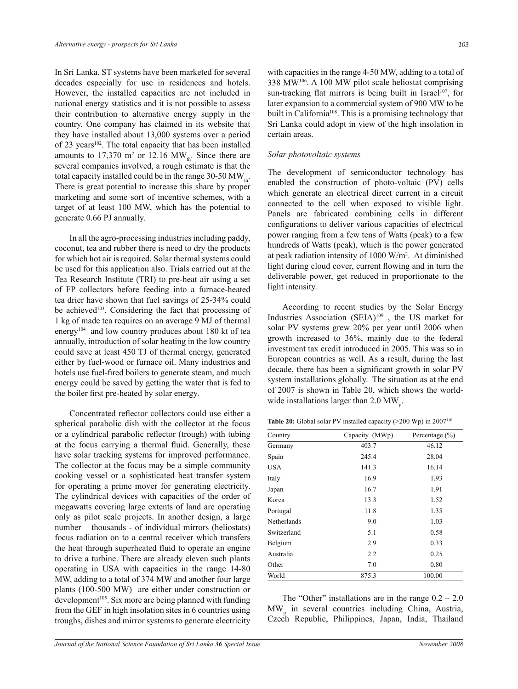In Sri Lanka, ST systems have been marketed for several decades especially for use in residences and hotels. However, the installed capacities are not included in national energy statistics and it is not possible to assess their contribution to alternative energy supply in the country. One company has claimed in its website that they have installed about 13,000 systems over a period of 23 years<sup>102</sup>. The total capacity that has been installed amounts to  $17,370$  m<sup>2</sup> or  $12.16$  MW<sub>th</sub>. Since there are several companies involved, a rough estimate is that the total capacity installed could be in the range 30-50  $MW_{th}$ . There is great potential to increase this share by proper marketing and some sort of incentive schemes, with a target of at least 100 MW, which has the potential to generate 0.66 PJ annually.

 In all the agro-processing industries including paddy, coconut, tea and rubber there is need to dry the products for which hot air is required. Solar thermal systems could be used for this application also. Trials carried out at the Tea Research Institute (TRI) to pre-heat air using a set of FP collectors before feeding into a furnace-heated tea drier have shown that fuel savings of 25-34% could be achieved<sup>103</sup>. Considering the fact that processing of 1 kg of made tea requires on an average 9 MJ of thermal energy<sup>104</sup> and low country produces about 180 kt of tea annually, introduction of solar heating in the low country could save at least 450 TJ of thermal energy, generated either by fuel-wood or furnace oil. Many industries and hotels use fuel-fired boilers to generate steam, and much energy could be saved by getting the water that is fed to the boiler first pre-heated by solar energy.

Concentrated reflector collectors could use either a spherical parabolic dish with the collector at the focus or a cylindrical parabolic reflector (trough) with tubing at the focus carrying a thermal fluid. Generally, these have solar tracking systems for improved performance. The collector at the focus may be a simple community cooking vessel or a sophisticated heat transfer system for operating a prime mover for generating electricity. The cylindrical devices with capacities of the order of megawatts covering large extents of land are operating only as pilot scale projects. In another design, a large number – thousands - of individual mirrors (heliostats) focus radiation on to a central receiver which transfers the heat through superheated fluid to operate an engine to drive a turbine. There are already eleven such plants operating in USA with capacities in the range 14-80 MW, adding to a total of 374 MW and another four large plants (100-500 MW) are either under construction or  $development^{105}$ . Six more are being planned with funding from the GEF in high insolation sites in 6 countries using troughs, dishes and mirror systems to generate electricity

with capacities in the range 4-50 MW, adding to a total of 338 MW<sup>106</sup>. A 100 MW pilot scale heliostat comprising sun-tracking flat mirrors is being built in Israel<sup>107</sup>, for later expansion to a commercial system of 900 MW to be built in California<sup>108</sup>. This is a promising technology that Sri Lanka could adopt in view of the high insolation in certain areas.

### *Solar photovoltaic systems*

The development of semiconductor technology has enabled the construction of photo-voltaic (PV) cells which generate an electrical direct current in a circuit connected to the cell when exposed to visible light. Panels are fabricated combining cells in different configurations to deliver various capacities of electrical power ranging from a few tens of Watts (peak) to a few hundreds of Watts (peak), which is the power generated at peak radiation intensity of 1000 W/m<sup>2</sup> . At diminished light during cloud cover, current flowing and in turn the deliverable power, get reduced in proportionate to the light intensity.

 According to recent studies by the Solar Energy Industries Association (SEIA)<sup>109</sup> , the US market for solar PV systems grew 20% per year until 2006 when growth increased to 36%, mainly due to the federal investment tax credit introduced in 2005. This was so in European countries as well. As a result, during the last decade, there has been a significant growth in solar PV system installations globally. The situation as at the end of 2007 is shown in Table 20, which shows the worldwide installations larger than 2.0  $MW_{p}$ .

**Table 20:** Global solar PV installed capacity (>200 Wp) in 2007<sup>110</sup>

| Capacity (MWp) | Percentage $(\% )$ |
|----------------|--------------------|
| 403.7          | 46.12              |
| 245.4          | 28.04              |
| 141.3          | 16.14              |
| 16.9           | 1.93               |
| 16.7           | 1.91               |
| 13.3           | 1.52               |
| 11.8           | 1.35               |
| 9.0            | 1.03               |
| 5.1            | 0.58               |
| 2.9            | 0.33               |
| 2.2            | 0.25               |
| 7.0            | 0.80               |
| 875.3          | 100.00             |
|                |                    |

The "Other" installations are in the range  $0.2 - 2.0$ MW<sup>p</sup> in several countries including China, Austria, Czech Republic, Philippines, Japan, India, Thailand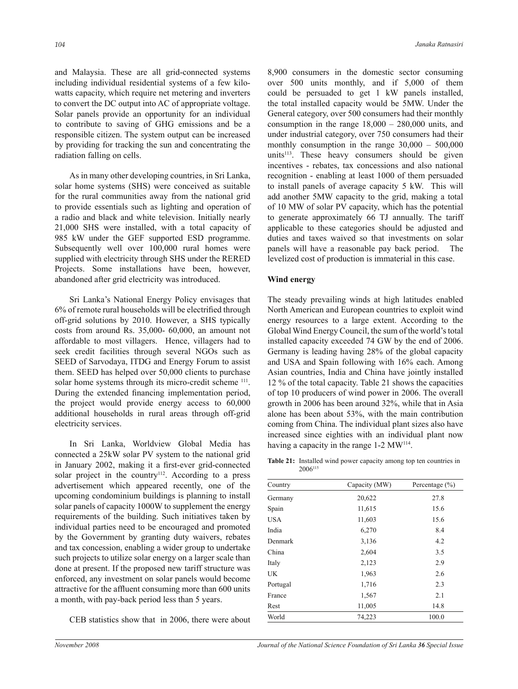and Malaysia. These are all grid-connected systems including individual residential systems of a few kilowatts capacity, which require net metering and inverters to convert the DC output into AC of appropriate voltage. Solar panels provide an opportunity for an individual to contribute to saving of GHG emissions and be a responsible citizen. The system output can be increased by providing for tracking the sun and concentrating the radiation falling on cells.

 As in many other developing countries, in Sri Lanka, solar home systems (SHS) were conceived as suitable for the rural communities away from the national grid to provide essentials such as lighting and operation of a radio and black and white television. Initially nearly 21,000 SHS were installed, with a total capacity of 985 kW under the GEF supported ESD programme. Subsequently well over 100,000 rural homes were supplied with electricity through SHS under the RERED Projects. Some installations have been, however, abandoned after grid electricity was introduced.

Sri Lanka's National Energy Policy envisages that  $6\%$  of remote rural households will be electrified through off-grid solutions by 2010. However, a SHS typically costs from around Rs. 35,000- 60,000, an amount not affordable to most villagers. Hence, villagers had to seek credit facilities through several NGOs such as SEED of Sarvodaya, ITDG and Energy Forum to assist them. SEED has helped over 50,000 clients to purchase solar home systems through its micro-credit scheme <sup>111</sup>. During the extended financing implementation period, the project would provide energy access to 60,000 additional households in rural areas through off-grid electricity services.

 In Sri Lanka, Worldview Global Media has connected a 25kW solar PV system to the national grid in January 2002, making it a first-ever grid-connected solar project in the country<sup>112</sup>. According to a press advertisement which appeared recently, one of the upcoming condominium buildings is planning to install solar panels of capacity 1000W to supplement the energy requirements of the building. Such initiatives taken by individual parties need to be encouraged and promoted by the Government by granting duty waivers, rebates and tax concession, enabling a wider group to undertake such projects to utilize solar energy on a larger scale than done at present. If the proposed new tariff structure was enforced, any investment on solar panels would become attractive for the affluent consuming more than 600 units a month, with pay-back period less than 5 years.

CEB statistics show that in 2006, there were about

8,900 consumers in the domestic sector consuming over 500 units monthly, and if 5,000 of them could be persuaded to get 1 kW panels installed, the total installed capacity would be 5MW. Under the General category, over 500 consumers had their monthly consumption in the range  $18,000 - 280,000$  units, and under industrial category, over 750 consumers had their monthly consumption in the range  $30,000 - 500,000$ units $113$ . These heavy consumers should be given incentives - rebates, tax concessions and also national recognition - enabling at least 1000 of them persuaded to install panels of average capacity 5 kW. This will add another 5MW capacity to the grid, making a total of 10 MW of solar PV capacity, which has the potential to generate approximately 66 TJ annually. The tariff applicable to these categories should be adjusted and duties and taxes waived so that investments on solar panels will have a reasonable pay back period. The levelized cost of production is immaterial in this case.

# **Wind energy**

The steady prevailing winds at high latitudes enabled North American and European countries to exploit wind energy resources to a large extent. According to the Global Wind Energy Council, the sum of the world's total installed capacity exceeded 74 GW by the end of 2006. Germany is leading having 28% of the global capacity and USA and Spain following with 16% each. Among Asian countries, India and China have jointly installed 12 % of the total capacity. Table 21 shows the capacities of top 10 producers of wind power in 2006. The overall growth in 2006 has been around 32%, while that in Asia alone has been about 53%, with the main contribution coming from China. The individual plant sizes also have increased since eighties with an individual plant now having a capacity in the range 1-2 MW<sup>114</sup>.

**Table 21:** Installed wind power capacity among top ten countries in 2006115

| Country    | Capacity (MW) | Percentage $(\% )$ |
|------------|---------------|--------------------|
| Germany    | 20,622        | 27.8               |
| Spain      | 11,615        | 15.6               |
| <b>USA</b> | 11,603        | 15.6               |
| India      | 6,270         | 8.4                |
| Denmark    | 3,136         | 4.2                |
| China      | 2,604         | 3.5                |
| Italy      | 2,123         | 2.9                |
| <b>UK</b>  | 1,963         | 2.6                |
| Portugal   | 1,716         | 2.3                |
| France     | 1,567         | 2.1                |
| Rest       | 11,005        | 14.8               |
| World      | 74,223        | 100.0              |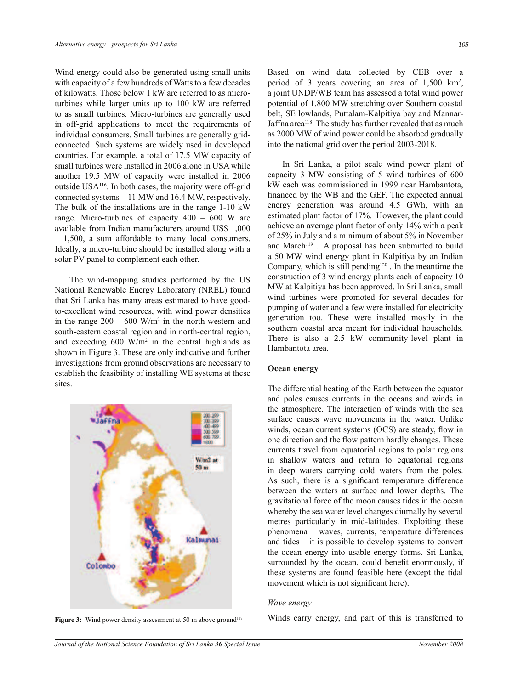Wind energy could also be generated using small units with capacity of a few hundreds of Watts to a few decades of kilowatts. Those below 1 kW are referred to as microturbines while larger units up to 100 kW are referred to as small turbines. Micro-turbines are generally used in off-grid applications to meet the requirements of individual consumers. Small turbines are generally gridconnected. Such systems are widely used in developed countries. For example, a total of 17.5 MW capacity of small turbines were installed in 2006 alone in USA while another 19.5 MW of capacity were installed in 2006 outside USA<sup>116</sup>. In both cases, the majority were off-grid connected systems  $-11$  MW and 16.4 MW, respectively. The bulk of the installations are in the range 1-10 kW range. Micro-turbines of capacity  $400 - 600$  W are available from Indian manufacturers around US\$ 1,000  $-1,500$ , a sum affordable to many local consumers. Ideally, a micro-turbine should be installed along with a solar PV panel to complement each other.

 The wind-mapping studies performed by the US National Renewable Energy Laboratory (NREL) found that Sri Lanka has many areas estimated to have goodto-excellent wind resources, with wind power densities in the range  $200 - 600$  W/m<sup>2</sup> in the north-western and south-eastern coastal region and in north-central region, and exceeding  $600 \text{ W/m}^2$  in the central highlands as shown in Figure 3. These are only indicative and further investigations from ground observations are necessary to establish the feasibility of installing WE systems at these sites.



Based on wind data collected by CEB over a period of 3 years covering an area of 1,500 km<sup>2</sup>, a joint UNDP/WB team has assessed a total wind power potential of 1,800 MW stretching over Southern coastal belt, SE lowlands, Puttalam-Kalpitiya bay and Mannar-Jaffna area<sup>118</sup>. The study has further revealed that as much as 2000 MW of wind power could be absorbed gradually into the national grid over the period 2003-2018.

 In Sri Lanka, a pilot scale wind power plant of capacity 3 MW consisting of 5 wind turbines of 600 kW each was commissioned in 1999 near Hambantota, financed by the WB and the GEF. The expected annual energy generation was around 4.5 GWh, with an estimated plant factor of 17%. However, the plant could achieve an average plant factor of only 14% with a peak of 25% in July and a minimum of about 5% in November and March<sup>119</sup>. A proposal has been submitted to build a 50 MW wind energy plant in Kalpitiya by an Indian Company, which is still pending<sup>120</sup>. In the meantime the construction of 3 wind energy plants each of capacity 10 MW at Kalpitiya has been approved. In Sri Lanka, small wind turbines were promoted for several decades for pumping of water and a few were installed for electricity generation too. These were installed mostly in the southern coastal area meant for individual households. There is also a 2.5 kW community-level plant in Hambantota area.

# **Ocean energy**

The differential heating of the Earth between the equator and poles causes currents in the oceans and winds in the atmosphere. The interaction of winds with the sea surface causes wave movements in the water. Unlike winds, ocean current systems (OCS) are steady, flow in one direction and the flow pattern hardly changes. These currents travel from equatorial regions to polar regions in shallow waters and return to equatorial regions in deep waters carrying cold waters from the poles. As such, there is a significant temperature difference between the waters at surface and lower depths. The gravitational force of the moon causes tides in the ocean whereby the sea water level changes diurnally by several metres particularly in mid-latitudes. Exploiting these phenomena - waves, currents, temperature differences and tides  $-$  it is possible to develop systems to convert the ocean energy into usable energy forms. Sri Lanka, surrounded by the ocean, could benefit enormously, if these systems are found feasible here (except the tidal movement which is not significant here).

### *Wave energy*

**Figure 3:** Wind power density assessment at 50 m above ground<sup>117</sup> Winds carry energy, and part of this is transferred to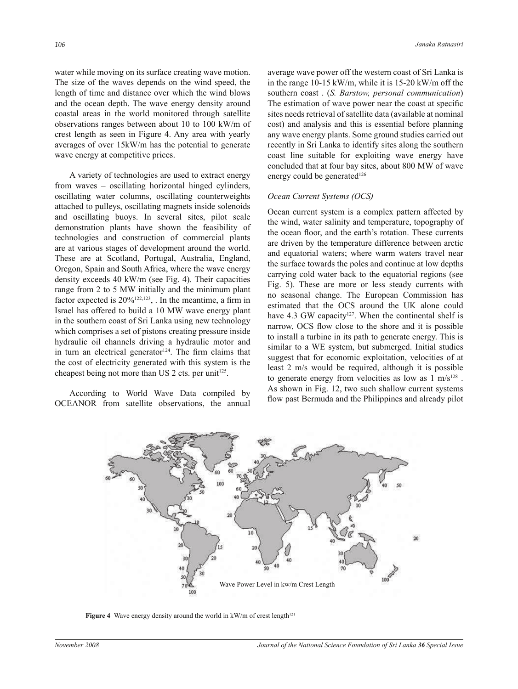water while moving on its surface creating wave motion. The size of the waves depends on the wind speed, the length of time and distance over which the wind blows and the ocean depth. The wave energy density around coastal areas in the world monitored through satellite observations ranges between about 10 to 100 kW/m of crest length as seen in Figure 4. Any area with yearly averages of over 15kW/m has the potential to generate wave energy at competitive prices.

 A variety of technologies are used to extract energy from waves – oscillating horizontal hinged cylinders, oscillating water columns, oscillating counterweights attached to pulleys, oscillating magnets inside solenoids and oscillating buoys. In several sites, pilot scale demonstration plants have shown the feasibility of technologies and construction of commercial plants are at various stages of development around the world. These are at Scotland, Portugal, Australia, England, Oregon, Spain and South Africa, where the wave energy density exceeds 40 kW/m (see Fig. 4). Their capacities range from 2 to 5 MW initially and the minimum plant factor expected is  $20\%^{122,123}$ , In the meantime, a firm in Israel has offered to build a 10 MW wave energy plant in the southern coast of Sri Lanka using new technology which comprises a set of pistons creating pressure inside hydraulic oil channels driving a hydraulic motor and in turn an electrical generator $124$ . The firm claims that the cost of electricity generated with this system is the cheapest being not more than US 2 cts. per unit<sup>125</sup>.

 According to World Wave Data compiled by OCEANOR from satellite observations, the annual average wave power off the western coast of Sri Lanka is in the range 10-15 kW/m, while it is 15-20 kW/m off the southern coast . (*S. Barstow, personal communication*) The estimation of wave power near the coast at specific sites needs retrieval of satellite data (available at nominal cost) and analysis and this is essential before planning any wave energy plants. Some ground studies carried out recently in Sri Lanka to identify sites along the southern coast line suitable for exploiting wave energy have concluded that at four bay sites, about 800 MW of wave energy could be generated<sup>126</sup>

# *Ocean Current Systems (OCS)*

Ocean current system is a complex pattern affected by the wind, water salinity and temperature, topography of the ocean floor, and the earth's rotation. These currents are driven by the temperature difference between arctic and equatorial waters; where warm waters travel near the surface towards the poles and continue at low depths carrying cold water back to the equatorial regions (see Fig. 5). These are more or less steady currents with no seasonal change. The European Commission has estimated that the OCS around the UK alone could have 4.3 GW capacity<sup>127</sup>. When the continental shelf is narrow, OCS flow close to the shore and it is possible to install a turbine in its path to generate energy. This is similar to a WE system, but submerged. Initial studies suggest that for economic exploitation, velocities of at least 2 m/s would be required, although it is possible to generate energy from velocities as low as  $1 \text{ m/s}^{128}$ . As shown in Fig. 12, two such shallow current systems flow past Bermuda and the Philippines and already pilot



**Figure 4** Wave energy density around the world in kW/m of crest length<sup>121</sup>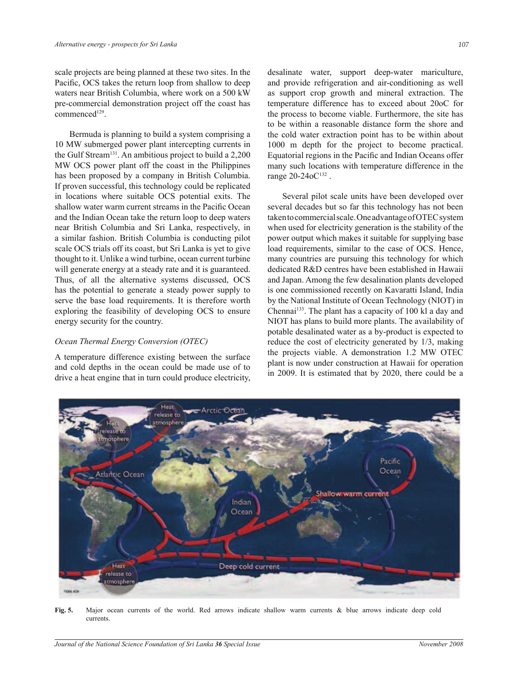scale projects are being planned at these two sites. In the Pacific, OCS takes the return loop from shallow to deep waters near British Columbia, where work on a 500 kW pre-commercial demonstration project off the coast has commenced<sup>129</sup>.

 Bermuda is planning to build a system comprising a 10 MW submerged power plant intercepting currents in the Gulf Stream<sup>131</sup>. An ambitious project to build a 2,200 MW OCS power plant off the coast in the Philippines has been proposed by a company in British Columbia. If proven successful, this technology could be replicated in locations where suitable OCS potential exits. The shallow water warm current streams in the Pacific Ocean and the Indian Ocean take the return loop to deep waters near British Columbia and Sri Lanka, respectively, in a similar fashion. British Columbia is conducting pilot scale OCS trials off its coast, but Sri Lanka is yet to give thought to it. Unlike a wind turbine, ocean current turbine will generate energy at a steady rate and it is guaranteed. Thus, of all the alternative systems discussed, OCS has the potential to generate a steady power supply to serve the base load requirements. It is therefore worth exploring the feasibility of developing OCS to ensure energy security for the country.

### *Ocean Thermal Energy Conversion (OTEC)*

A temperature difference existing between the surface and cold depths in the ocean could be made use of to drive a heat engine that in turn could produce electricity, desalinate water, support deep-water mariculture, and provide refrigeration and air-conditioning as well as support crop growth and mineral extraction. The temperature difference has to exceed about 20oC for the process to become viable. Furthermore, the site has to be within a reasonable distance form the shore and the cold water extraction point has to be within about 1000 m depth for the project to become practical. Equatorial regions in the Pacific and Indian Oceans offer many such locations with temperature difference in the range 20-24oC<sup>132</sup>.

 Several pilot scale units have been developed over several decades but so far this technology has not been taken to commercial scale. One advantage of OTEC system when used for electricity generation is the stability of the power output which makes it suitable for supplying base load requirements, similar to the case of OCS. Hence, many countries are pursuing this technology for which dedicated R&D centres have been established in Hawaii and Japan. Among the few desalination plants developed is one commissioned recently on Kavaratti Island, India by the National Institute of Ocean Technology (NIOT) in Chennai<sup>133</sup>. The plant has a capacity of 100 kl a day and NIOT has plans to build more plants. The availability of potable desalinated water as a by-product is expected to reduce the cost of electricity generated by 1/3, making the projects viable. A demonstration 1.2 MW OTEC plant is now under construction at Hawaii for operation in 2009. It is estimated that by 2020, there could be a



**Fig. 5.** Major ocean currents of the world. Red arrows indicate shallow warm currents & blue arrows indicate deep cold currents.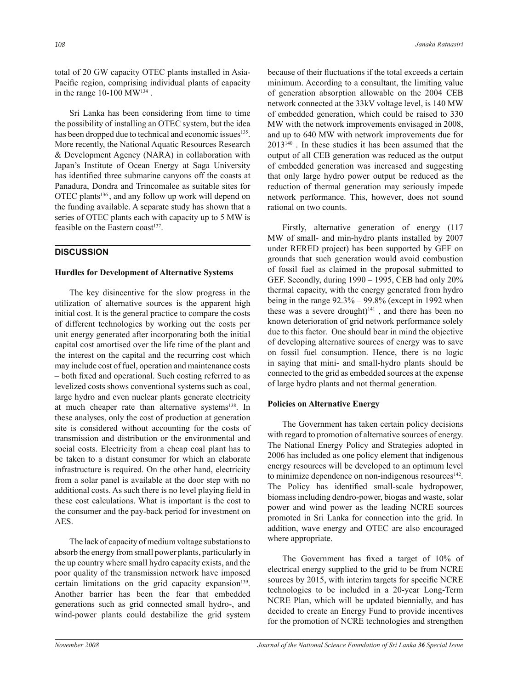total of 20 GW capacity OTEC plants installed in Asia-Pacific region, comprising individual plants of capacity in the range  $10-100 \text{ MW}^{134}$ .

 Sri Lanka has been considering from time to time the possibility of installing an OTEC system, but the idea has been dropped due to technical and economic issues<sup>135</sup>. More recently, the National Aquatic Resources Research & Development Agency (NARA) in collaboration with Japan's Institute of Ocean Energy at Saga University has identified three submarine canyons off the coasts at Panadura, Dondra and Trincomalee as suitable sites for OTEC plants<sup>136</sup>, and any follow up work will depend on the funding available. A separate study has shown that a series of OTEC plants each with capacity up to 5 MW is feasible on the Eastern coast $137$ .

# **DISCUSSION**

# **Hurdles for Development of Alternative Systems**

 The key disincentive for the slow progress in the utilization of alternative sources is the apparent high initial cost. It is the general practice to compare the costs of different technologies by working out the costs per unit energy generated after incorporating both the initial capital cost amortised over the life time of the plant and the interest on the capital and the recurring cost which may include cost of fuel, operation and maintenance costs – both fixed and operational. Such costing referred to as levelized costs shows conventional systems such as coal, large hydro and even nuclear plants generate electricity at much cheaper rate than alternative systems<sup>138</sup>. In these analyses, only the cost of production at generation site is considered without accounting for the costs of transmission and distribution or the environmental and social costs. Electricity from a cheap coal plant has to be taken to a distant consumer for which an elaborate infrastructure is required. On the other hand, electricity from a solar panel is available at the door step with no additional costs. As such there is no level playing field in these cost calculations. What is important is the cost to the consumer and the pay-back period for investment on AES.

 The lack of capacity of medium voltage substations to absorb the energy from small power plants, particularly in the up country where small hydro capacity exists, and the poor quality of the transmission network have imposed certain limitations on the grid capacity expansion<sup>139</sup>. Another barrier has been the fear that embedded generations such as grid connected small hydro-, and wind-power plants could destabilize the grid system

because of their fluctuations if the total exceeds a certain minimum. According to a consultant, the limiting value of generation absorption allowable on the 2004 CEB network connected at the 33kV voltage level, is 140 MW of embedded generation, which could be raised to 330 MW with the network improvements envisaged in 2008, and up to 640 MW with network improvements due for 2013<sup>140</sup> . In these studies it has been assumed that the output of all CEB generation was reduced as the output of embedded generation was increased and suggesting that only large hydro power output be reduced as the reduction of thermal generation may seriously impede network performance. This, however, does not sound rational on two counts.

 Firstly, alternative generation of energy (117 MW of small- and min-hydro plants installed by 2007 under RERED project) has been supported by GEF on grounds that such generation would avoid combustion of fossil fuel as claimed in the proposal submitted to GEF. Secondly, during  $1990 - 1995$ , CEB had only  $20\%$ thermal capacity, with the energy generated from hydro being in the range  $92.3\% - 99.8\%$  (except in 1992 when these was a severe drought)<sup>141</sup>, and there has been no known deterioration of grid network performance solely due to this factor. One should bear in mind the objective of developing alternative sources of energy was to save on fossil fuel consumption. Hence, there is no logic in saying that mini- and small-hydro plants should be connected to the grid as embedded sources at the expense of large hydro plants and not thermal generation.

#### **Policies on Alternative Energy**

 The Government has taken certain policy decisions with regard to promotion of alternative sources of energy. The National Energy Policy and Strategies adopted in 2006 has included as one policy element that indigenous energy resources will be developed to an optimum level to minimize dependence on non-indigenous resources<sup>142</sup>. The Policy has identified small-scale hydropower, biomass including dendro-power, biogas and waste, solar power and wind power as the leading NCRE sources promoted in Sri Lanka for connection into the grid. In addition, wave energy and OTEC are also encouraged where appropriate.

The Government has fixed a target of 10% of electrical energy supplied to the grid to be from NCRE sources by 2015, with interim targets for specific NCRE technologies to be included in a 20-year Long-Term NCRE Plan, which will be updated biennially, and has decided to create an Energy Fund to provide incentives for the promotion of NCRE technologies and strengthen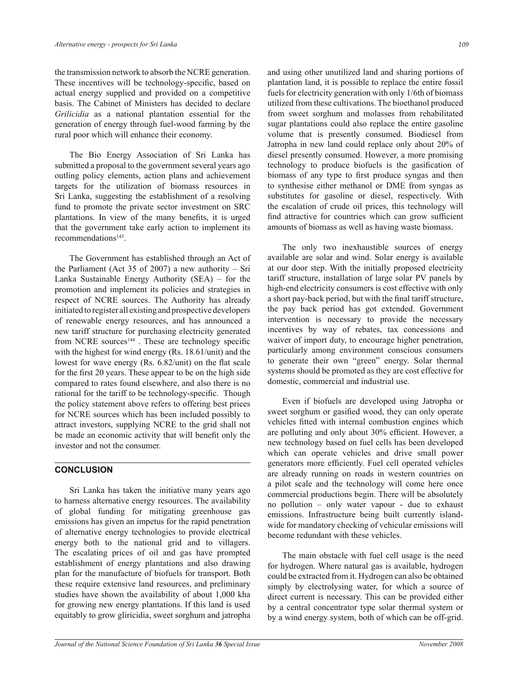the transmission network to absorb the NCRE generation. These incentives will be technology-specific, based on actual energy supplied and provided on a competitive basis. The Cabinet of Ministers has decided to declare *Grilicidia* as a national plantation essential for the generation of energy through fuel-wood farming by the rural poor which will enhance their economy.

 The Bio Energy Association of Sri Lanka has submitted a proposal to the government several years ago outling policy elements, action plans and achievement targets for the utilization of biomass resources in Sri Lanka, suggesting the establishment of a resolving fund to promote the private sector investment on SRC plantations. In view of the many benefits, it is urged that the government take early action to implement its recommendations<sup>143</sup>.

 The Government has established through an Act of the Parliament (Act 35 of 2007) a new authority  $-$  Sri Lanka Sustainable Energy Authority (SEA)  $-$  for the promotion and implement its policies and strategies in respect of NCRE sources. The Authority has already initiated to register all existing and prospective developers of renewable energy resources, and has announced a new tariff structure for purchasing electricity generated from NCRE sources<sup>144</sup>. These are technology specific with the highest for wind energy (Rs. 18.61/unit) and the lowest for wave energy  $(Rs. 6.82/unit)$  on the flat scale for the first 20 years. These appear to be on the high side compared to rates found elsewhere, and also there is no rational for the tariff to be technology-specific. Though the policy statement above refers to offering best prices for NCRE sources which has been included possibly to attract investors, supplying NCRE to the grid shall not be made an economic activity that will benefit only the investor and not the consumer.

# **CONCLUSION**

 Sri Lanka has taken the initiative many years ago to harness alternative energy resources. The availability of global funding for mitigating greenhouse gas emissions has given an impetus for the rapid penetration of alternative energy technologies to provide electrical energy both to the national grid and to villagers. The escalating prices of oil and gas have prompted establishment of energy plantations and also drawing plan for the manufacture of biofuels for transport. Both these require extensive land resources, and preliminary studies have shown the availability of about 1,000 kha for growing new energy plantations. If this land is used equitably to grow gliricidia, sweet sorghum and jatropha

and using other unutilized land and sharing portions of plantation land, it is possible to replace the entire fossil fuels for electricity generation with only 1/6th of biomass utilized from these cultivations. The bioethanol produced from sweet sorghum and molasses from rehabilitated sugar plantations could also replace the entire gasoline volume that is presently consumed. Biodiesel from Jatropha in new land could replace only about 20% of diesel presently consumed. However, a more promising technology to produce biofuels is the gasication of biomass of any type to first produce syngas and then to synthesise either methanol or DME from syngas as substitutes for gasoline or diesel, respectively. With the escalation of crude oil prices, this technology will find attractive for countries which can grow sufficient amounts of biomass as well as having waste biomass.

 The only two inexhaustible sources of energy available are solar and wind. Solar energy is available at our door step. With the initially proposed electricity tariff structure, installation of large solar PV panels by high-end electricity consumers is cost effective with only a short pay-back period, but with the final tariff structure, the pay back period has got extended. Government intervention is necessary to provide the necessary incentives by way of rebates, tax concessions and waiver of import duty, to encourage higher penetration, particularly among environment conscious consumers to generate their own "green" energy. Solar thermal systems should be promoted as they are cost effective for domestic, commercial and industrial use.

 Even if biofuels are developed using Jatropha or sweet sorghum or gasified wood, they can only operate vehicles fitted with internal combustion engines which are polluting and only about 30% efficient. However, a new technology based on fuel cells has been developed which can operate vehicles and drive small power generators more efficiently. Fuel cell operated vehicles are already running on roads in western countries on a pilot scale and the technology will come here once commercial productions begin. There will be absolutely no pollution  $-$  only water vapour - due to exhaust emissions. Infrastructure being built currently islandwide for mandatory checking of vehicular emissions will become redundant with these vehicles.

 The main obstacle with fuel cell usage is the need for hydrogen. Where natural gas is available, hydrogen could be extracted from it. Hydrogen can also be obtained simply by electrolysing water, for which a source of direct current is necessary. This can be provided either by a central concentrator type solar thermal system or by a wind energy system, both of which can be off-grid.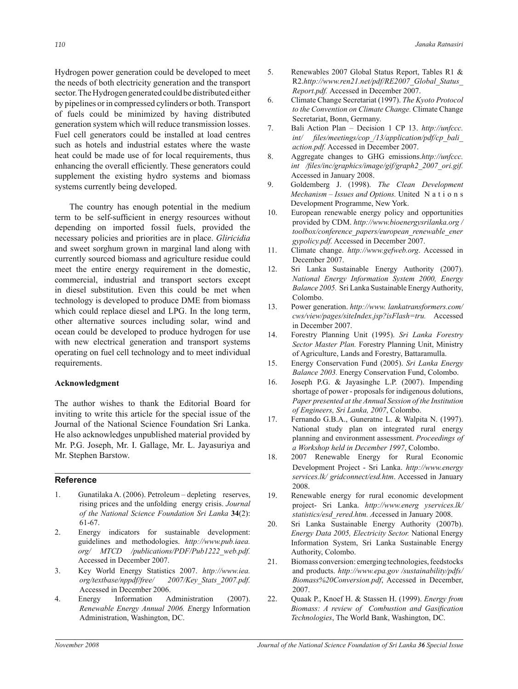Hydrogen power generation could be developed to meet the needs of both electricity generation and the transport sector. The Hydrogen generated could be distributed either by pipelines or in compressed cylinders or both. Transport of fuels could be minimized by having distributed generation system which will reduce transmission losses. Fuel cell generators could be installed at load centres such as hotels and industrial estates where the waste heat could be made use of for local requirements, thus enhancing the overall efficiently. These generators could supplement the existing hydro systems and biomass systems currently being developed.

 The country has enough potential in the medium term to be self-sufficient in energy resources without depending on imported fossil fuels, provided the necessary policies and priorities are in place. *Gliricidia*  and sweet sorghum grown in marginal land along with currently sourced biomass and agriculture residue could meet the entire energy requirement in the domestic, commercial, industrial and transport sectors except in diesel substitution. Even this could be met when technology is developed to produce DME from biomass which could replace diesel and LPG. In the long term, other alternative sources including solar, wind and ocean could be developed to produce hydrogen for use with new electrical generation and transport systems operating on fuel cell technology and to meet individual requirements.

### **Acknowledgment**

The author wishes to thank the Editorial Board for inviting to write this article for the special issue of the Journal of the National Science Foundation Sri Lanka. He also acknowledges unpublished material provided by Mr. P.G. Joseph, Mr. I. Gallage, Mr. L. Jayasuriya and Mr. Stephen Barstow.

#### **Reference**

- 1. Gunatilaka A. (2006). Petroleum depleting reserves, rising prices and the unfolding energy crisis. *Journal of the National Science Foundation Sri Lanka* **34**(2): 61-67.
- 2. Energy indicators for sustainable development: guidelines and methodologies. *http://www.pub.iaea. org/ MTCD /publications/PDF/Pub1222\_web.pdf.*  Accessed in December 2007.
- 3. Key World Energy Statistics 2007. *http://www.iea. org/textbase/nppdf/free/ 2007/Key\_Stats\_2007.pdf.* Accessed in December 2006.
- 4. Energy Information Administration (2007). *Renewable Energy Annual 2006. E*nergy Information Administration, Washington, DC.
- 5. Renewables 2007 Global Status Report, Tables R1 & R2.*http://www.ren21.net/pdf/RE2007\_Global\_Status\_ Report.pdf.* Accessed in December 2007.
- 6. Climate Change Secretariat (1997). *The Kyoto Protocol to the Convention on Climate Change.* Climate Change Secretariat, Bonn, Germany.
- 7. Bali Action Plan Decision 1 CP 13. *http://unfccc. int/ les/meetings/cop\_/13/application/pdf/cp\_bali\_ action.pdf.* Accessed in December 2007.
- 8. Aggregate changes to GHG emissions.*http://unfccc.*  int /files/inc/graphics/image/gif/graph2\_2007\_ori.gif. Accessed in January 2008.
- 9. Goldemberg J. (1998). *The Clean Development Mechanism – Issues and Options.* United N a t i o n s Development Programme, New York.
- 10. European renewable energy policy and opportunities provided by CDM. *http://www.bioenergysrilanka.org / toolbox/conference\_papers/european\_renewable\_ener gypolicy.pdf.* Accessed in December 2007.
- 11. Climate change. *http://www.gefweb.org*. Accessed in December 2007.
- 12. Sri Lanka Sustainable Energy Authority (2007). *National Energy Information System 2000, Energy Balance 2005.* Sri Lanka Sustainable Energy Authority, Colombo.
- 13. Power generation. *http://www. lankatransformers.com/ cws/view/pages/siteIndex.jsp?isFlash=tru.* Accessed in December 2007.
- 14. Forestry Planning Unit (1995). *Sri Lanka Forestry Sector Master Plan.* Forestry Planning Unit, Ministry of Agriculture, Lands and Forestry, Battaramulla.
- 15. Energy Conservation Fund (2005). *Sri Lanka Energy Balance 2003.* Energy Conservation Fund, Colombo.
- 16. Joseph P.G. & Jayasinghe L.P. (2007). Impending shortage of power - proposals for indigenous dolutions, *Paper presented at the Annual Session of the Institution of Engineers, Sri Lanka, 2007*, Colombo.
- 17. Fernando G.B.A., Guneratne L. & Walpita N. (1997). National study plan on integrated rural energy planning and environment assessment. *Proceedings of a Workshop held in December 1997*, Colombo.
- 18. 2007 Renewable Energy for Rural Economic Development Project - Sri Lanka. *http://www.energy services.lk/ gridconnect/esd.htm*. Accessed in January 2008.
- 19. Renewable energy for rural economic development project- Sri Lanka. *http://www.energ yservices.lk/ statistics/esd\_rered.htm. A*ccessed in January 2008.
- 20. Sri Lanka Sustainable Energy Authority (2007b). *Energy Data 2005, Electricity Sector.* National Energy Information System, Sri Lanka Sustainable Energy Authority, Colombo.
- 21. Biomass conversion: emerging technologies, feedstocks and products. *http://www.epa.gov /sustainability/pdfs/ Biomass%20Conversion.pdf*, Accessed in December, 2007.
- 22. Quaak P., Knoef H. & Stassen H. (1999). *Energy from*  Biomass: A review of Combustion and Gasification *Technologies*, The World Bank, Washington, DC.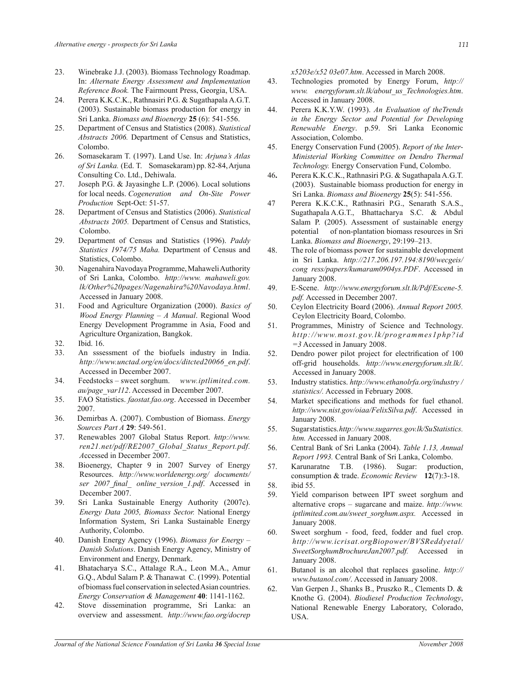- 23. Winebrake J.J. (2003). Biomass Technology Roadmap. In: *Alternate Energy Assessment and Implementation Reference Book.* The Fairmount Press, Georgia, USA.
- 24. Perera K.K.C.K., Rathnasiri P.G. & Sugathapala A.G.T. (2003). Sustainable biomass production for energy in Sri Lanka. *Biomass and Bioenergy* **25** (6): 541-556.
- 25. Department of Census and Statistics (2008). *Statistical Abstracts 2006.* Department of Census and Statistics, Colombo.
- 26. Somasekaram T. (1997). Land Use. In: *Arjunaís Atlas of Sri Lanka.* (Ed. T. Somasekaram) pp. 82-84, Arjuna Consulting Co. Ltd., Dehiwala.
- 27. Joseph P.G. & Jayasinghe L.P. (2006). Local solutions for local needs. *Cogeneration and On-Site Power Production* Sept-Oct: 51-57.
- 28. Department of Census and Statistics (2006). *Statistical Abstracts 2005.* Department of Census and Statistics, Colombo.
- 29. Department of Census and Statistics (1996). *Paddy Statistics 1974/75 Maha.* Department of Census and Statistics, Colombo.
- 30. Nagenahira Navodaya Programme, Mahaweli Authority of Sri Lanka, Colombo. *http://www. mahaweli.gov. lk/Other%20pages/Nagenahira%20Navodaya.html*. Accessed in January 2008.
- 31. Food and Agriculture Organization (2000). *Basics of Wood Energy Planning - A Manual. Regional Wood* Energy Development Programme in Asia, Food and Agriculture Organization, Bangkok.
- 32. Ibid. 16.
- 33. An sssessment of the biofuels industry in India. *http://www.unctad.org/en/docs/ditcted20066*\_*en.pdf*. Accessed in December 2007.
- 34. Feedstocks sweet sorghum. *www.iptlimited.com. au/page\_var112*. Accessed in December 2007.
- 35. FAO Statistics. *faostat.fao.org*. Accessed in December 2007.
- 36. Demirbas A. (2007). Combustion of Biomass. *Energy Sources Part A* **29**: 549-561.
- 37. Renewables 2007 Global Status Report. *http://www. ren21.net/pdf/RE2007\_Global\_Status\_Report.pdf. A*ccessed in December 2007.
- 38. Bioenergy, Chapter 9 in 2007 Survey of Energy Resources. *http://www.worldenergy.org/ documents/ ser 2007\_nal\_ online\_version\_1.pdf*. Accessed in December 2007.
- 39. Sri Lanka Sustainable Energy Authority (2007c). *Energy Data 2005, Biomass Sector.* National Energy Information System, Sri Lanka Sustainable Energy Authority, Colombo.
- 40. Danish Energy Agency (1996). *Biomass for Energy* -*Danish Solutions*. Danish Energy Agency, Ministry of Environment and Energy, Denmark.
- 41. Bhatacharya S.C., Attalage R.A., Leon M.A., Amur G.Q., Abdul Salam P. & Thanawat C. (1999). Potential of biomass fuel conservation in selected Asian countries. *Energy Conservation & Management* **40**: 1141-1162.
- 42. Stove dissemination programme, Sri Lanka: an overview and assessment. *http://www.fao.org/docrep*

*x5203e/x52 03e07.htm*. Accessed in March 2008.

- 43. Technologies promoted by Energy Forum, *http:// www. energyforum.slt.lk/about\_us\_Technologies.htm*. Accessed in January 2008.
- 44. Perera K.K.Y.W. (1993). *An Evaluation of theTrends in the Energy Sector and Potential for Developing Renewable Energy*. p.59. Sri Lanka Economic Association, Colombo.
- 45. Energy Conservation Fund (2005). *Report of the Inter-Ministerial Working Committee on Dendro Thermal Technology.* Energy Conservation Fund, Colombo.
- 46**.** Perera K.K.C.K., Rathnasiri P.G. & Sugathapala A.G.T. (2003). Sustainable biomass production for energy in Sri Lanka. *Biomass and Bioenergy* **25**(5): 541-556.
- 47 Perera K.K.C.K., Rathnasiri P.G., Senarath S.A.S., Sugathapala A.G.T., Bhattacharya S.C. & Abdul Salam P. (2005). Assessment of sustainable energy potential of non-plantation biomass resources in Sri Lanka. *Biomass and Bioenergy*, 29:199-213.
- 48. The role of biomass power for sustainable development in Sri Lanka. *http://217.206.197.194:8190*/*wecgeis/ cong ress/papers/kumaram0904ys.PDF*. Accessed in January 2008.
- 49. E-Scene. *http://www.energyforum.slt.lk/Pdf/Escene-5. pdf.* Accessed in December 2007.
- 50. Ceylon Electricity Board (2006). *Annual Report 2005.* Ceylon Electricity Board, Colombo.
- 51. Programmes, Ministry of Science and Technology. *http://www.most.gov.lk/programmes1php?id =3* Accessed in January 2008.
- 52. Dendro power pilot project for electrification of 100 off-grid households. *http://www.energyforum.slt.lk/*. Accessed in January 2008.
- 53. Industry statistics. *http://www.ethanolrfa.org/industry / statistics/.* Accessed in February 2008.
- 54. Market specifications and methods for fuel ethanol. *http://www.nist.gov/oiaa/FelixSilva.pdf*. Accessed in January 2008.
- 55. Sugar statistics. *http://www.sugarres.gov.lk/Su Statistics. htm.* Accessed in January 2008.
- 56. Central Bank of Sri Lanka (2004). *Table 1.13, Annual Report 1993.* Central Bank of Sri Lanka, Colombo.
- 57. Karunaratne T.B. (1986). Sugar: production, consumption & trade. *Economic Review* **12**(7):3-18. 58. ibid 55.
	-
- 59. Yield comparison between IPT sweet sorghum and alternative crops – sugarcane and maize. *http://www. iptlimited.com.au/sweet\_sorghum.aspx.* Accessed in January 2008.
- 60. Sweet sorghum food, feed, fodder and fuel crop. *http://www.icrisat.orgBiopower/BVSReddyetal/ SweetSorghumBrochureJan2007.pdf.* Accessed in January 2008.
- 61. Butanol is an alcohol that replaces gasoline. *http:// www.butanol.com/*. Accessed in January 2008.
- 62. Van Gerpen J., Shanks B., Pruszko R., Clements D. & Knothe G. (2004). *Biodiesel Production Technology*, National Renewable Energy Laboratory, Colorado, **USA**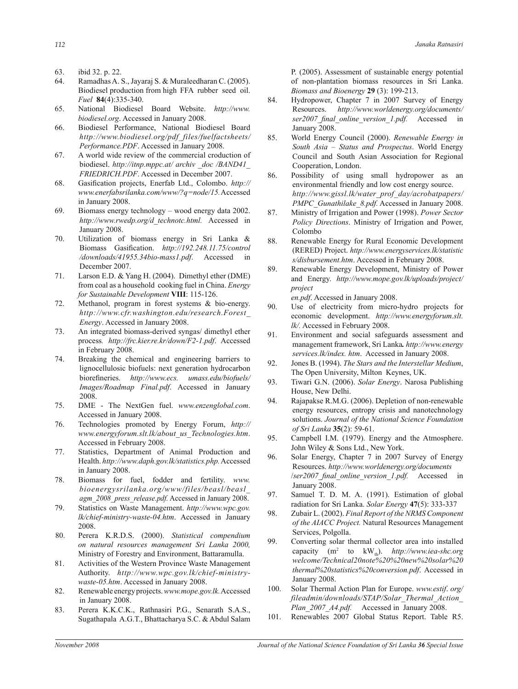- 63. ibid 32. p. 22.
- 64. Ramadhas A. S., Jayaraj S. & Muraleedharan C. (2005). Biodiesel production from high FFA rubber seed oil. *Fuel* **84**(4):335-340.
- 65. National Biodiesel Board Website. *http://www. biodiesel.org*. Accessed in January 2008.
- 66. Biodiesel Performance, National Biodiesel Board *http://www.biodiesel.org/pdf\_files/fuelfactsheets/ Performance.PDF*. Accessed in January 2008.
- 67. A world wide review of the commercial croduction of biodiesel. *http://itnp.mppc.at/ archiv \_doc /BAND41\_ FRIEDRICH.PDF*. Accessed in December 2007.
- 68. Gasification projects, Enerfab Ltd., Colombo. http:// *www.enerfabsrilanka.com/www/?q=node/15.* Accessed in January 2008.
- 69. Biomass energy technology  $-$  wood energy data 2002. *http://www.rwedp.org/d\_technotc.html.* Accessed in January 2008.
- 70. Utilization of biomass energy in Sri Lanka & Biomass Gasification. *http://192.248.11.75/control /downloads/41955.34bio-mass1.pdf*. Accessed in December 2007.
- 71. Larson E.D. & Yang H. (2004). Dimethyl ether (DME) from coal as a household cooking fuel in China. *Energy for Sustainable Development* **VIII**: 115-126.
- 72. Methanol, program in forest systems & bio-energy. *http://www.cfr.washington.edu/research.Forest\_ Energy*. Accessed in January 2008.
- 73. An integrated biomass-derived syngas/ dimethyl ether process*. http://frc.kier.re.kr/down/F2-1.pdf*. Accessed in February 2008.
- 74. Breaking the chemical and engineering barriers to lignocellulosic biofuels: next generation hydrocarbon  $biorefineries.$  http://www.ecs. umass.edu/biofuels/ *Images/Roadmap Final.pdf*. Accessed in January 2008.
- 75. DME The NextGen fuel. *www.enzenglobal.com*. Accessed in January 2008.
- 76. Technologies promoted by Energy Forum, *http:// www.energyforum.slt.lk/about\_us\_Technologies.htm*. Accessed in February 2008.
- 77. Statistics, Department of Animal Production and Health. *http://www.daph.gov.lk/statistics.php.* Accessed in January 2008.
- 78. Biomass for fuel, fodder and fertility. *www. bioenergysrilanka.org/www/files/beasl/beasl\_ agm\_2008\_press\_release.pdf.* Accessed in January 2008.
- 79. Statistics on Waste Management. *http://www.wpc.gov. lk/chief-ministry-waste-04.htm*. Accessed in January 2008.
- 80. Perera K.R.D.S. (2000). *Statistical compendium on natural resources management Sri Lanka 2000,* Ministry of Forestry and Environment, Battaramulla.
- 81. Activities of the Western Province Waste Management Authority. *http://www.wpc.gov.lk/chief-ministrywaste-05.htm*. Accessed in January 2008.
- 82. Renewable energy projects. *www.mope.gov.lk.* Accessed in January 2008.
- 83. Perera K.K.C.K., Rathnasiri P.G., Senarath S.A.S., Sugathapala A.G.T., Bhattacharya S.C. & Abdul Salam

P. (2005). Assessment of sustainable energy potential of non-plantation biomass resources in Sri Lanka. *Biomass and Bioenergy* **29** (3): 199-213.

- 84. Hydropower, Chapter 7 in 2007 Survey of Energy Resources. *http://www.worldenergy.org/documents/ ser2007\_nal\_online\_version\_1.pdf.* Accessed in January 2008.
- 85. World Energy Council (2000). *Renewable Energy in South Asia – Status and Prospectus*. World Energy Council and South Asian Association for Regional Cooperation, London.
- 86. Possibility of using small hydropower as an environmental friendly and low cost energy source. *http://www.gissl.lk/water\_prof\_day/acrobatpapers/ PMPC\_Gunathilake\_8.pdf.* Accessed in January 2008.
- 87. Ministry of Irrigation and Power (1998). *Power Sector Policy Directions*. Ministry of Irrigation and Power, Colombo
- 88. Renewable Energy for Rural Economic Development (RERED) Project. *http://www.energyservices.lk/statistic s/disbursement.htm*. Accessed in February 2008.
- 89. Renewable Energy Development, Ministry of Power and Energy. *http://www.mope.gov.lk/uploads/project/ project*

*en.pdf.* Accessed in January 2008.<br>90. Use of electricity from micro

- Use of electricity from micro-hydro projects for economic development. *http://www.energyforum.slt. lk/.* Accessed in February 2008.
- 91. Environment and social safeguards assessment and management framework, Sri Lanka*. http://www.energy services.lk/index. htm*. Accessed in January 2008.
- 92. Jones B. (1994). *The Stars and the Interstellar Medium*, The Open University, Milton Keynes, UK.
- 93. Tiwari G.N. (2006). *Solar Energy*. Narosa Publishing House, New Delhi.
- 94. Rajapakse R.M.G. (2006). Depletion of non-renewable energy resources, entropy crisis and nanotechnology solutions. *Journal of the National Science Foundation of Sri Lanka* **35**(2): 59-61.
- 95. Campbell I.M. (1979). Energy and the Atmosphere. John Wiley & Sons Ltd., New York.
- 96. Solar Energy, Chapter 7 in 2007 Survey of Energy Resources. *http://www.worldenergy.org/documents* /*ser2007\_nal\_online\_version\_1.pdf.* Accessed in January 2008.
- 97. Samuel T. D. M. A. (1991). Estimation of global radiation for Sri Lanka. *Solar Energy* **47**(5): 333-337
- 98. Zubair L. (2002). *Final Report of the NRMS Component of the AIACC Project.* Natural Resources Management Services, Polgolla.
- 99. Converting solar thermal collector area into installed capacity (m<sup>2</sup> to kW<sub>th</sub>). *http://www.iea-shc.org welcome/Technical20note%20%20new%20solar%20 thermal%20statistics%20conversion.pdf*. Accessed in January 2008.
- 100. Solar Thermal Action Plan for Europe. *www.estif*. *org/ fileadmin/downloads/STAP/Solar\_Thermal\_Action\_ Plan\_2007\_A4.pdf.* Accessed in January 2008.
- 101. Renewables 2007 Global Status Report. Table R5.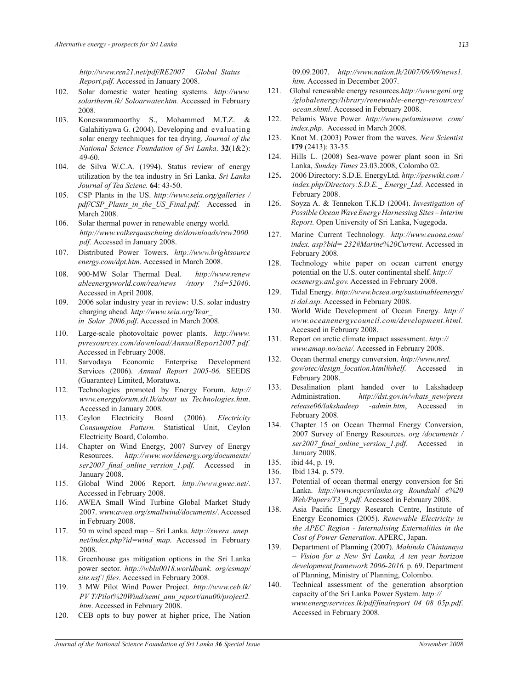*http://www.ren21.net/pdf/RE2007\_ Global\_Status \_ Report.pdf*. Accessed in January 2008.

- 102. Solar domestic water heating systems. *http://www. solartherm.lk/ Soloarwater.htm.* Accessed in February 2008.
- 103. Koneswaramoorthy S., Mohammed M.T.Z. & Galahitiyawa G. (2004). Developing and evaluating solar energy techniques for tea drying. *Journal of the National Science Foundation of Sri Lanka*. **32**(1&2): 49-60.
- 104. de Silva W.C.A. (1994). Status review of energy utilization by the tea industry in Sri Lanka. *Sri Lanka Journal of Tea Scienc.* **64**: 43-50.
- 105. CSP Plants in the US. *http://www.seia.org/galleries / pdf/CSP\_Plants\_in\_the\_US\_Final.pdf.* Accessed in March 2008.
- 106. Solar thermal power in renewable energy world. *http://www.volkerquaschning.de/downloads/rew2000. pdf.* Accessed in January 2008.
- 107. Distributed Power Towers. *http://www.brightsource energy.com/dpt.htm*. Accessed in March 2008.
- 108.900-MW Solar Thermal Deal. *http://www.renew ableenergyworld.com/rea/news /story ?id=52040*. Accessed in April 2008.
- 109. 2006 solar industry year in review: U.S. solar industry charging ahead. *http://www.seia.org/Year\_ in\_Solar\_2006.pdf*. Accessed in March 2008.
- 110. Large-scale photovoltaic power plants. *http://www. pvresources.com/download/AnnualReport2007.pdf.*  Accessed in February 2008.
- 111. Sarvodaya Economic Enterprise Development Services (2006). *Annual Report 2005-06.* SEEDS (Guarantee) Limited, Moratuwa.
- 112. Technologies promoted by Energy Forum. *http:// www.energyforum.slt.lk/about\_us\_Technologies.htm*. Accessed in January 2008.
- 113. Ceylon Electricity Board (2006). *Electricity Consumption Pattern.* Statistical Unit, Ceylon Electricity Board, Colombo.
- 114. Chapter on Wind Energy, 2007 Survey of Energy Resources. *http://www.worldenergy.org/documents/ ser2007\_nal\_online\_version\_1.pdf.* Accessed in January 2008.
- 115. Global Wind 2006 Report. *http://www.gwec.net/*. Accessed in February 2008.
- 116. AWEA Small Wind Turbine Global Market Study 2007. *www.awea.org/smallwind/documents/*. Accessed in February 2008.
- 117. 50 m wind speed map ñ Sri Lanka. *http://swera .unep. net/index.php?id=wind\_map*. Accessed in February 2008.
- 118. Greenhouse gas mitigation options in the Sri Lanka power sector. *http://wbln0018.worldbank. org/esmap/ site.nsf* / *les*. Accessed in February 2008.
- 119. 3 MW Pilot Wind Power Project*. http://www.ceb.lk/ PV T/Pilot%20Wind/semi\_anu\_report/anu00/project2. htm*. Accessed in February 2008.
- 120. CEB opts to buy power at higher price, The Nation

09.09.2007. *http://www.nation.lk/2007/09/09/news1. htm.* Accessed in December 2007.

- 121. Global renewable energy resources.*http://www.geni.org /globalenergy/library/renewable-energy-resources/ ocean.shtml*. Accessed in February 2008.
- 122. Pelamis Wave Power. *http://www.pelamiswave. com/ index.php.* Accessed in March 2008.
- 123. Knot M. (2003) Power from the waves. *New Scientist* **179** (2413): 33-35.
- 124. Hills L. (2008) Sea-wave power plant soon in Sri Lanka, *Sunday Times* 23.03.2008, Colombo 02.
- 125**.** 2006 Directory: S.D.E. EnergyLtd. *http://peswiki.com / index.php/Directory:S.D.E.\_ Energy\_Ltd*. Accessed in February 2008.
- 126. Soyza A. & Tennekon T.K.D (2004). *Investigation of Possible Ocean Wave Energy Harnessing Sites - Interim Report.* Open University of Sri Lanka, Nugegoda.
- 127. Marine Current Technology. *http://www.euoea.com/ index. asp?bid= 232#Marine%20Current*. Accessed in February 2008.
- 128. Technology white paper on ocean current energy potential on the U.S. outer continental shelf. *http:// ocsenergy.anl.gov.* Accessed in February 2008.
- 129. Tidal Energy. *http://www.bcsea.org/sustainableenergy/ ti dal.asp*. Accessed in February 2008.
- 130. World Wide Development of Ocean Energy. *http:// www.oceanenergycouncil.com/development.html.* Accessed in February 2008.
- 131. Report on arctic climate impact assessment. *http:// www.amap.no/acia/.* Accessed in February 2008.
- 132. Ocean thermal energy conversion. *http://www.nrel. gov/otec/design\_location.html#shelf.* Accessed in February 2008.
- 133. Desalination plant handed over to Lakshadeep Administration. *http://dst.gov.in/whats\_new/press release06/lakshadeep -admin.htm*, Accessed in February 2008.
- 134. Chapter 15 on Ocean Thermal Energy Conversion, 2007 Survey of Energy Resources. *org /documents / ser2007\_nal\_online\_version\_1.pdf.* Accessed in January 2008.
- 135. ibid 44, p. 19.
- 136. Ibid 134. p. 579.
- 137. Potential of ocean thermal energy conversion for Sri Lanka. *http://www.ncpcsrilanka.org Roundtabl e%20 Web/Papers/T3\_9.pdf.* Accessed in February 2008.
- 138. Asia Pacific Energy Research Centre, Institute of Energy Economics (2005). *Renewable Electricity in the APEC Region - Internalising Externalities in the Cost of Power Generation*. APERC, Japan.
- 139. Department of Planning (2007). *Mahinda Chintanaya ñ Vision for a New Sri Lanka, A ten year horizon development framework 2006-2016.* p. 69. Department of Planning, Ministry of Planning, Colombo.
- 140. Technical assessment of the generation absorption capacity of the Sri Lanka Power System. *http:// www.energyservices.lk/pdf/nalreport\_04\_08\_05p.pdf*. Accessed in February 2008.